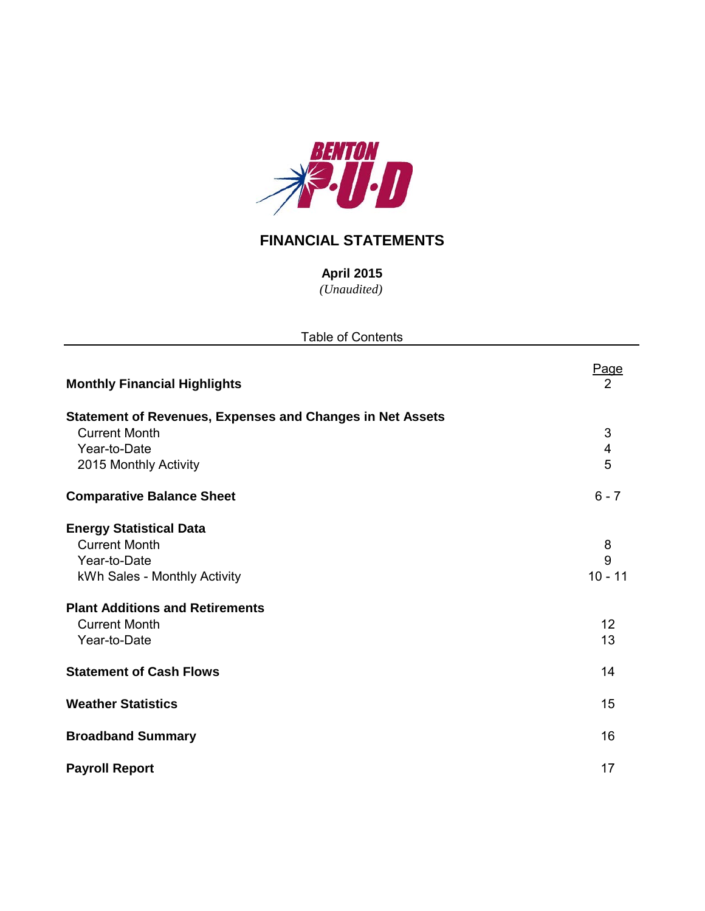

## **FINANCIAL STATEMENTS**

*(Unaudited)* **April 2015**

| <b>Table of Contents</b>                                         |                         |  |  |  |  |  |  |  |
|------------------------------------------------------------------|-------------------------|--|--|--|--|--|--|--|
| <b>Monthly Financial Highlights</b>                              | <u>Page</u><br>2        |  |  |  |  |  |  |  |
| <b>Statement of Revenues, Expenses and Changes in Net Assets</b> |                         |  |  |  |  |  |  |  |
| <b>Current Month</b>                                             | $\sqrt{3}$              |  |  |  |  |  |  |  |
| Year-to-Date                                                     | $\overline{\mathbf{4}}$ |  |  |  |  |  |  |  |
| 2015 Monthly Activity                                            | 5                       |  |  |  |  |  |  |  |
| <b>Comparative Balance Sheet</b>                                 | $6 - 7$                 |  |  |  |  |  |  |  |
| <b>Energy Statistical Data</b>                                   |                         |  |  |  |  |  |  |  |
| <b>Current Month</b>                                             | 8                       |  |  |  |  |  |  |  |
| Year-to-Date                                                     | 9                       |  |  |  |  |  |  |  |
| kWh Sales - Monthly Activity                                     | $10 - 11$               |  |  |  |  |  |  |  |
| <b>Plant Additions and Retirements</b>                           |                         |  |  |  |  |  |  |  |
| <b>Current Month</b>                                             | 12                      |  |  |  |  |  |  |  |
| Year-to-Date                                                     | 13                      |  |  |  |  |  |  |  |
| <b>Statement of Cash Flows</b>                                   | 14                      |  |  |  |  |  |  |  |
| <b>Weather Statistics</b>                                        | 15                      |  |  |  |  |  |  |  |
| <b>Broadband Summary</b>                                         | 16                      |  |  |  |  |  |  |  |
| <b>Payroll Report</b>                                            | 17                      |  |  |  |  |  |  |  |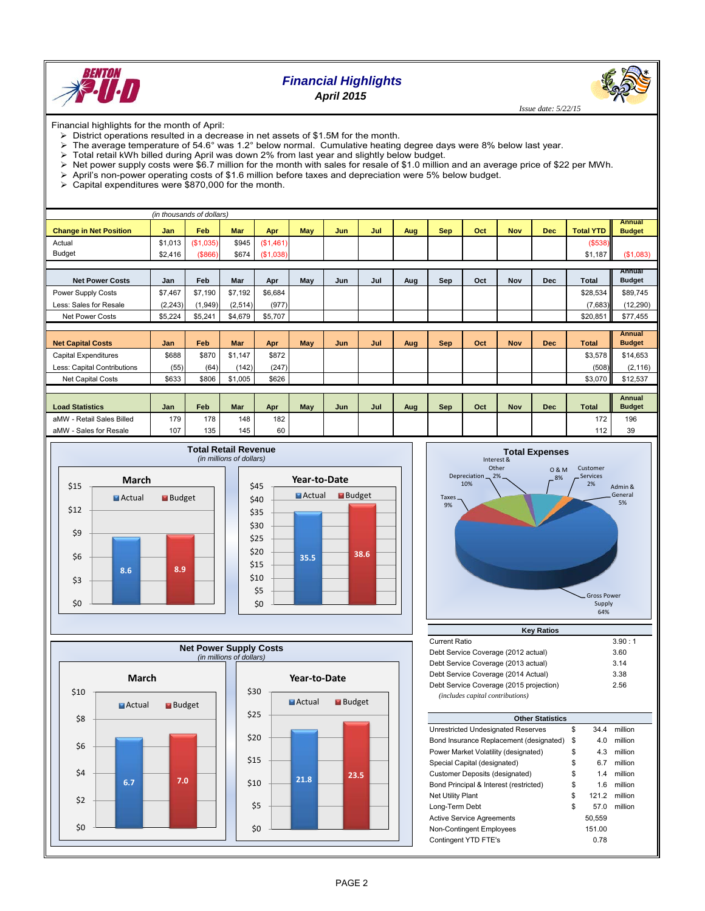

## *Financial Highlights*

*April 2015*

 *Issue date: 5/22/15*

Financial highlights for the month of April:

- $\triangleright$  District operations resulted in a decrease in net assets of \$1.5M for the month.
- The average temperature of 54.6° was 1.2° below normal. Cumulative heating degree days were 8% below last year.
- $\triangleright$  Total retail kWh billed during April was down 2% from last year and slightly below budget.
- $\triangleright$  Net power supply costs were \$6.7 million for the month with sales for resale of \$1.0 million and an average price of \$22 per MWh.
- $\triangleright$  April's non-power operating costs of \$1.6 million before taxes and depreciation were 5% below budget.
- $\geq$  Capital expenditures were \$870,000 for the month.

| (in thousands of dollars)     |            |            |            |            |     |     |     |     |            |     |            |            |                  |                                |
|-------------------------------|------------|------------|------------|------------|-----|-----|-----|-----|------------|-----|------------|------------|------------------|--------------------------------|
| <b>Change in Net Position</b> | <b>Jan</b> | <b>Feb</b> | <b>Mar</b> | Apr        | May | Jun | Jul | Aug | <b>Sep</b> | Oct | <b>Nov</b> | <b>Dec</b> | <b>Total YTD</b> | <b>Annual</b><br><b>Budget</b> |
|                               |            |            |            |            |     |     |     |     |            |     |            |            |                  |                                |
| Actual                        | \$1,013    | (\$1,035)  | \$945      | (\$1,461)  |     |     |     |     |            |     |            |            | ( \$538)         |                                |
| <b>Budget</b>                 | \$2,416    | (8866)     | \$674      | ( \$1,038) |     |     |     |     |            |     |            |            | \$1,187          | (S1,083)                       |
|                               |            |            |            |            |     |     |     |     |            |     |            |            |                  |                                |
| <b>Net Power Costs</b>        | Jan        | Feb        | Mar        | Apr        | May | Jun | Jul | Aug | Sep        | Oct | <b>Nov</b> | <b>Dec</b> | Total            | Annual<br><b>Budget</b>        |
| Power Supply Costs            | \$7,467    | \$7,190    | \$7,192    | \$6,684    |     |     |     |     |            |     |            |            | \$28,534         | \$89,745                       |
| Less: Sales for Resale        | (2, 243)   | (1,949)    | (2,514)    | (977)      |     |     |     |     |            |     |            |            | (7,683)          | (12, 290)                      |
| <b>Net Power Costs</b>        | \$5,224    | \$5,241    | \$4,679    | \$5,707    |     |     |     |     |            |     |            |            | \$20,851         | \$77,455                       |
|                               |            |            |            |            |     |     |     |     |            |     |            |            |                  |                                |
|                               |            |            |            |            |     |     |     |     |            |     |            |            |                  | <b>Annual</b>                  |
| <b>Net Capital Costs</b>      | Jan        | Feb        | Mar        | Apr        | May | Jun | Jul | Aug | <b>Sep</b> | Oct | <b>Nov</b> | <b>Dec</b> | <b>Total</b>     | <b>Budget</b>                  |
| Capital Expenditures          | \$688      | \$870      | \$1,147    | \$872      |     |     |     |     |            |     |            |            | \$3,578          | \$14,653                       |
| Less: Capital Contributions   | (55)       | (64)       | (142)      | (247)      |     |     |     |     |            |     |            |            | (508)            | (2, 116)                       |
| Net Capital Costs             | \$633      | \$806      | \$1,005    | \$626      |     |     |     |     |            |     |            |            | \$3,070          | \$12,537                       |
|                               |            |            |            |            |     |     |     |     |            |     |            |            |                  |                                |
|                               |            |            |            |            |     |     |     |     |            |     |            |            |                  | <b>Annual</b>                  |
| <b>Load Statistics</b>        | Jan        | Feb        | Mar        | Apr        | May | Jun | Jul | Aug | Sep        | Oct | <b>Nov</b> | <b>Dec</b> | <b>Total</b>     | <b>Budget</b>                  |
| - Retail Sales Billed<br>aMW  | 179        | 178        | 148        | 182        |     |     |     |     |            |     |            |            | 172              | 196                            |
| aMW - Sales for Resale        | 107        | 135        | 145        | 60         |     |     |     |     |            |     |            |            | 112              | 39                             |









| <b>Current Ratio</b>                    | 3.90:1 |
|-----------------------------------------|--------|
| Debt Service Coverage (2012 actual)     | 3.60   |
| Debt Service Coverage (2013 actual)     | 3.14   |
| Debt Service Coverage (2014 Actual)     | 3.38   |
| Debt Service Coverage (2015 projection) | 2.56   |
| (includes capital contributions)        |        |

| <b>Other Statistics</b>                 |    |        |         |  |  |  |  |  |  |  |
|-----------------------------------------|----|--------|---------|--|--|--|--|--|--|--|
| Unrestricted Undesignated Reserves      | \$ | 34.4   | million |  |  |  |  |  |  |  |
| Bond Insurance Replacement (designated) | \$ | 4.0    | million |  |  |  |  |  |  |  |
| Power Market Volatility (designated)    | \$ | 4.3    | million |  |  |  |  |  |  |  |
| Special Capital (designated)            | \$ | 6.7    | million |  |  |  |  |  |  |  |
| Customer Deposits (designated)          | \$ | 1.4    | million |  |  |  |  |  |  |  |
| Bond Principal & Interest (restricted)  | \$ | 1.6    | million |  |  |  |  |  |  |  |
| <b>Net Utility Plant</b>                | \$ | 121.2  | million |  |  |  |  |  |  |  |
| Long-Term Debt                          | \$ | 57.0   | million |  |  |  |  |  |  |  |
| <b>Active Service Agreements</b>        |    | 50.559 |         |  |  |  |  |  |  |  |
| Non-Contingent Employees                |    | 151.00 |         |  |  |  |  |  |  |  |
| Contingent YTD FTE's                    |    | 0.78   |         |  |  |  |  |  |  |  |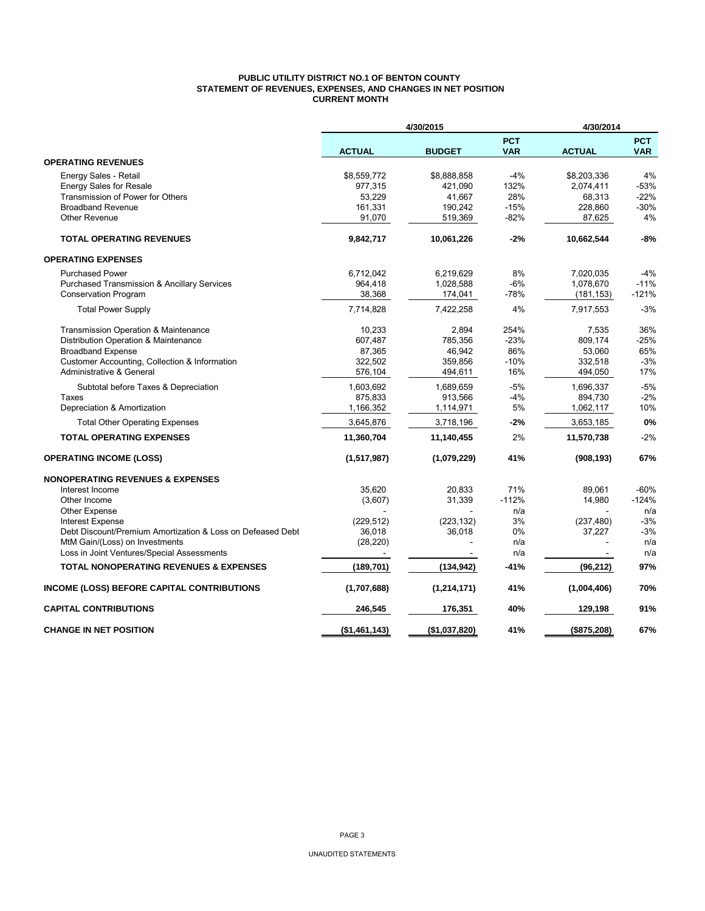#### **PUBLIC UTILITY DISTRICT NO.1 OF BENTON COUNTY STATEMENT OF REVENUES, EXPENSES, AND CHANGES IN NET POSITION CURRENT MONTH**

|                                                                                       |                     | 4/30/2015     |                          | 4/30/2014     |                          |
|---------------------------------------------------------------------------------------|---------------------|---------------|--------------------------|---------------|--------------------------|
|                                                                                       | <b>ACTUAL</b>       | <b>BUDGET</b> | <b>PCT</b><br><b>VAR</b> | <b>ACTUAL</b> | <b>PCT</b><br><b>VAR</b> |
| <b>OPERATING REVENUES</b>                                                             |                     |               |                          |               |                          |
| Energy Sales - Retail                                                                 | \$8,559,772         | \$8,888,858   | $-4%$                    | \$8,203,336   | 4%                       |
| <b>Energy Sales for Resale</b>                                                        | 977,315             | 421,090       | 132%                     | 2,074,411     | $-53%$                   |
| Transmission of Power for Others                                                      | 53,229              | 41,667        | 28%                      | 68,313        | $-22%$                   |
| <b>Broadband Revenue</b>                                                              | 161,331             | 190,242       | $-15%$                   | 228,860       | $-30%$                   |
| <b>Other Revenue</b>                                                                  | 91,070              | 519,369       | $-82%$                   | 87,625        | 4%                       |
| <b>TOTAL OPERATING REVENUES</b>                                                       | 9,842,717           | 10,061,226    | $-2%$                    | 10,662,544    | -8%                      |
| <b>OPERATING EXPENSES</b>                                                             |                     |               |                          |               |                          |
| <b>Purchased Power</b>                                                                | 6,712,042           | 6,219,629     | 8%                       | 7,020,035     | $-4%$                    |
| <b>Purchased Transmission &amp; Ancillary Services</b>                                | 964,418             | 1,028,588     | $-6%$                    | 1,078,670     | $-11%$                   |
| <b>Conservation Program</b>                                                           | 38,368              | 174,041       | $-78%$                   | (181, 153)    | $-121%$                  |
| <b>Total Power Supply</b>                                                             | 7,714,828           | 7,422,258     | 4%                       | 7,917,553     | $-3%$                    |
| Transmission Operation & Maintenance                                                  | 10,233              | 2,894         | 254%                     | 7,535         | 36%                      |
| Distribution Operation & Maintenance                                                  | 607,487             | 785,356       | $-23%$                   | 809,174       | $-25%$                   |
| <b>Broadband Expense</b>                                                              | 87,365              | 46,942        | 86%                      | 53,060        | 65%                      |
| Customer Accounting, Collection & Information                                         | 322,502             | 359,856       | $-10%$                   | 332,518       | $-3%$                    |
| Administrative & General                                                              | 576,104             | 494,611       | 16%                      | 494,050       | 17%                      |
| Subtotal before Taxes & Depreciation                                                  | 1,603,692           | 1,689,659     | $-5%$                    | 1,696,337     | $-5%$                    |
| Taxes                                                                                 | 875,833             | 913,566       | $-4%$                    | 894,730       | $-2%$                    |
| Depreciation & Amortization                                                           | 1,166,352           | 1,114,971     | 5%                       | 1,062,117     | 10%                      |
| <b>Total Other Operating Expenses</b>                                                 | 3,645,876           | 3,718,196     | $-2%$                    | 3,653,185     | 0%                       |
| <b>TOTAL OPERATING EXPENSES</b>                                                       | 11,360,704          | 11,140,455    | 2%                       | 11,570,738    | $-2%$                    |
| <b>OPERATING INCOME (LOSS)</b>                                                        | (1,517,987)         | (1,079,229)   | 41%                      | (908, 193)    | 67%                      |
| <b>NONOPERATING REVENUES &amp; EXPENSES</b>                                           |                     |               |                          |               |                          |
| Interest Income                                                                       | 35,620              | 20,833        | 71%                      | 89,061        | $-60%$                   |
| Other Income                                                                          | (3,607)             | 31,339        | $-112%$                  | 14,980        | $-124%$                  |
| <b>Other Expense</b>                                                                  |                     |               | n/a                      |               | n/a                      |
| <b>Interest Expense</b><br>Debt Discount/Premium Amortization & Loss on Defeased Debt | (229, 512)          | (223, 132)    | 3%<br>0%                 | (237, 480)    | $-3%$<br>$-3%$           |
| MtM Gain/(Loss) on Investments                                                        | 36,018<br>(28, 220) | 36,018        | n/a                      | 37,227        | n/a                      |
| Loss in Joint Ventures/Special Assessments                                            |                     |               | n/a                      |               | n/a                      |
| <b>TOTAL NONOPERATING REVENUES &amp; EXPENSES</b>                                     | (189, 701)          | (134, 942)    | -41%                     | (96, 212)     | 97%                      |
|                                                                                       |                     |               |                          |               |                          |
| INCOME (LOSS) BEFORE CAPITAL CONTRIBUTIONS                                            | (1,707,688)         | (1, 214, 171) | 41%                      | (1,004,406)   | 70%                      |
| <b>CAPITAL CONTRIBUTIONS</b>                                                          | 246,545             | 176,351       | 40%                      | 129,198       | 91%                      |
| <b>CHANGE IN NET POSITION</b>                                                         | (\$1,461,143)       | (\$1,037,820) | 41%                      | (\$875,208)   | 67%                      |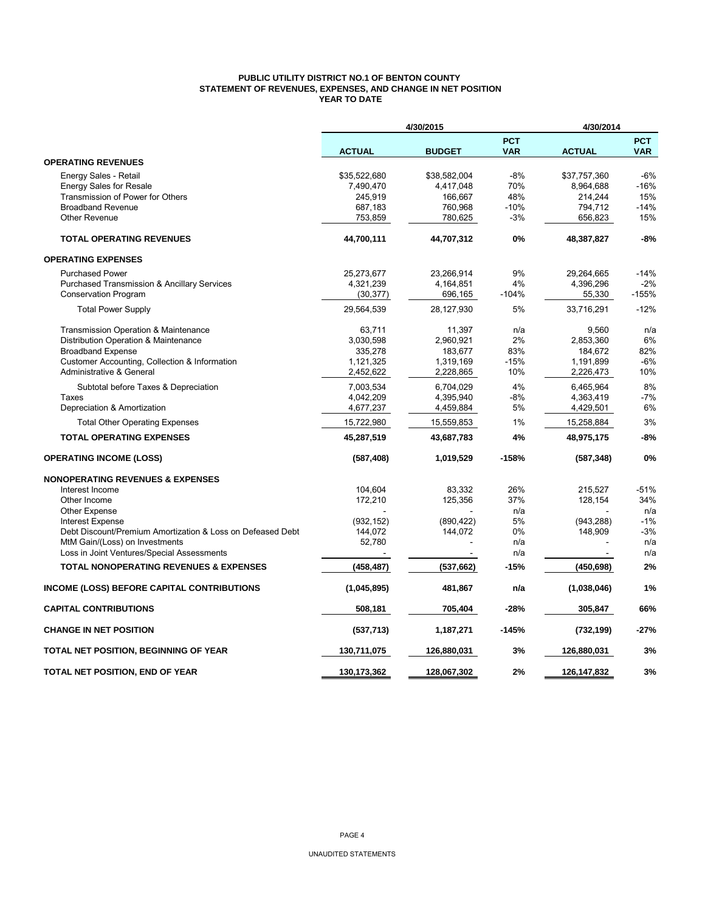#### **PUBLIC UTILITY DISTRICT NO.1 OF BENTON COUNTY STATEMENT OF REVENUES, EXPENSES, AND CHANGE IN NET POSITION YEAR TO DATE**

|                                                            |               | 4/30/2015     |                          | 4/30/2014     |                          |
|------------------------------------------------------------|---------------|---------------|--------------------------|---------------|--------------------------|
|                                                            | <b>ACTUAL</b> | <b>BUDGET</b> | <b>PCT</b><br><b>VAR</b> | <b>ACTUAL</b> | <b>PCT</b><br><b>VAR</b> |
| <b>OPERATING REVENUES</b>                                  |               |               |                          |               |                          |
| Energy Sales - Retail                                      | \$35,522,680  | \$38,582,004  | -8%                      | \$37,757,360  | $-6%$                    |
| <b>Energy Sales for Resale</b>                             | 7,490,470     | 4,417,048     | 70%                      | 8,964,688     | $-16%$                   |
| Transmission of Power for Others                           | 245.919       | 166,667       | 48%                      | 214,244       | 15%                      |
| <b>Broadband Revenue</b>                                   | 687,183       | 760,968       | $-10%$                   | 794,712       | $-14%$                   |
| <b>Other Revenue</b>                                       | 753,859       | 780,625       | $-3%$                    | 656,823       | 15%                      |
| <b>TOTAL OPERATING REVENUES</b>                            | 44,700,111    | 44,707,312    | 0%                       | 48,387,827    | $-8%$                    |
| <b>OPERATING EXPENSES</b>                                  |               |               |                          |               |                          |
| <b>Purchased Power</b>                                     | 25,273,677    | 23,266,914    | 9%                       | 29,264,665    | -14%                     |
| Purchased Transmission & Ancillary Services                | 4,321,239     | 4,164,851     | 4%                       | 4,396,296     | $-2%$                    |
| <b>Conservation Program</b>                                | (30, 377)     | 696,165       | $-104%$                  | 55,330        | $-155%$                  |
| <b>Total Power Supply</b>                                  | 29,564,539    | 28,127,930    | 5%                       | 33,716,291    | $-12%$                   |
| Transmission Operation & Maintenance                       | 63,711        | 11,397        | n/a                      | 9,560         | n/a                      |
| Distribution Operation & Maintenance                       | 3,030,598     | 2,960,921     | 2%                       | 2,853,360     | 6%                       |
| <b>Broadband Expense</b>                                   | 335,278       | 183,677       | 83%                      | 184,672       | 82%                      |
| Customer Accounting, Collection & Information              | 1,121,325     | 1,319,169     | $-15%$                   | 1,191,899     | $-6%$                    |
| Administrative & General                                   | 2,452,622     | 2,228,865     | 10%                      | 2,226,473     | 10%                      |
| Subtotal before Taxes & Depreciation                       | 7,003,534     | 6,704,029     | 4%                       | 6,465,964     | 8%                       |
| Taxes                                                      | 4,042,209     | 4,395,940     | $-8%$                    | 4,363,419     | $-7%$                    |
| Depreciation & Amortization                                | 4,677,237     | 4,459,884     | 5%                       | 4,429,501     | 6%                       |
| <b>Total Other Operating Expenses</b>                      | 15,722,980    | 15,559,853    | 1%                       | 15,258,884    | 3%                       |
| <b>TOTAL OPERATING EXPENSES</b>                            | 45,287,519    | 43,687,783    | 4%                       | 48,975,175    | $-8%$                    |
| <b>OPERATING INCOME (LOSS)</b>                             | (587, 408)    | 1,019,529     | $-158%$                  | (587, 348)    | 0%                       |
| <b>NONOPERATING REVENUES &amp; EXPENSES</b>                |               |               |                          |               |                          |
| Interest Income                                            | 104,604       | 83,332        | 26%                      | 215,527       | $-51%$                   |
| Other Income                                               | 172,210       | 125,356       | 37%                      | 128,154       | 34%                      |
| <b>Other Expense</b>                                       |               |               | n/a                      |               | n/a                      |
| <b>Interest Expense</b>                                    | (932, 152)    | (890, 422)    | 5%                       | (943, 288)    | $-1%$                    |
| Debt Discount/Premium Amortization & Loss on Defeased Debt | 144,072       | 144,072       | 0%                       | 148,909       | $-3%$                    |
| MtM Gain/(Loss) on Investments                             | 52,780        |               | n/a                      |               | n/a                      |
| Loss in Joint Ventures/Special Assessments                 |               |               | n/a                      |               | n/a                      |
| <b>TOTAL NONOPERATING REVENUES &amp; EXPENSES</b>          | (458, 487)    | (537, 662)    | $-15%$                   | (450, 698)    | 2%                       |
| <b>INCOME (LOSS) BEFORE CAPITAL CONTRIBUTIONS</b>          | (1,045,895)   | 481,867       | n/a                      | (1,038,046)   | 1%                       |
| <b>CAPITAL CONTRIBUTIONS</b>                               | 508,181       | 705,404       | $-28%$                   | 305,847       | 66%                      |
| <b>CHANGE IN NET POSITION</b>                              | (537, 713)    | 1,187,271     | $-145%$                  | (732, 199)    | $-27%$                   |
| TOTAL NET POSITION, BEGINNING OF YEAR                      | 130,711,075   | 126,880,031   | 3%                       | 126,880,031   | 3%                       |
| TOTAL NET POSITION, END OF YEAR                            | 130,173,362   | 128.067.302   | 2%                       | 126,147,832   | 3%                       |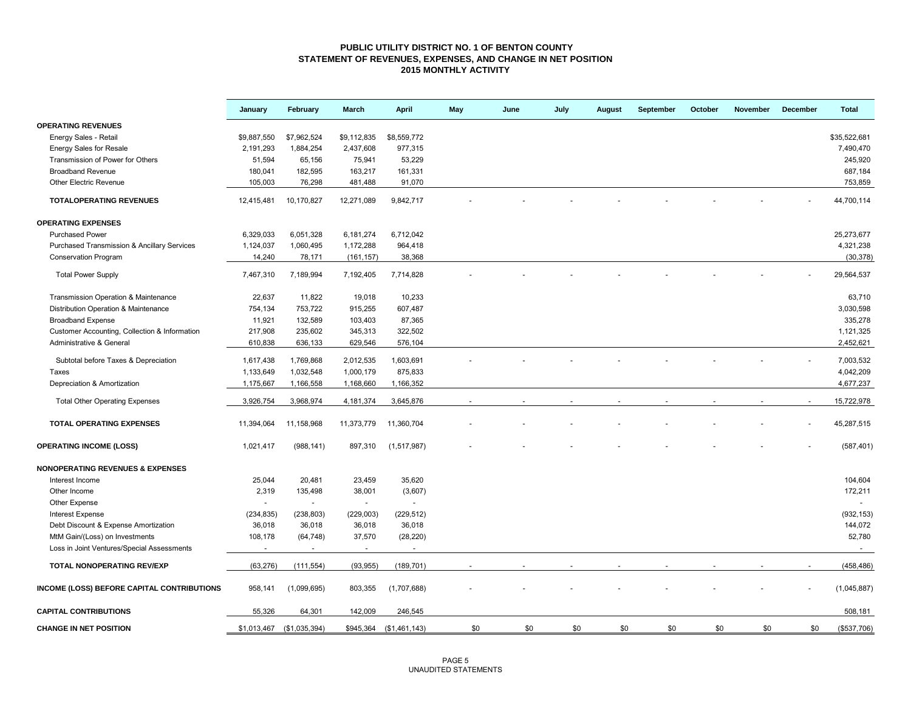#### **PUBLIC UTILITY DISTRICT NO. 1 OF BENTON COUNTY STATEMENT OF REVENUES, EXPENSES, AND CHANGE IN NET POSITION 2015 MONTHLY ACTIVITY**

|                                                        | January     | February                 | March       | April          | May | June | July | August | September | October | November | December | <b>Total</b> |
|--------------------------------------------------------|-------------|--------------------------|-------------|----------------|-----|------|------|--------|-----------|---------|----------|----------|--------------|
| <b>OPERATING REVENUES</b>                              |             |                          |             |                |     |      |      |        |           |         |          |          |              |
| Energy Sales - Retail                                  | \$9,887,550 | \$7,962,524              | \$9,112,835 | \$8,559,772    |     |      |      |        |           |         |          |          | \$35.522.681 |
| <b>Energy Sales for Resale</b>                         | 2,191,293   | 1,884,254                | 2,437,608   | 977,315        |     |      |      |        |           |         |          |          | 7,490,470    |
| Transmission of Power for Others                       | 51,594      | 65,156                   | 75,941      | 53,229         |     |      |      |        |           |         |          |          | 245.920      |
| <b>Broadband Revenue</b>                               | 180,041     | 182,595                  | 163,217     | 161,331        |     |      |      |        |           |         |          |          | 687,184      |
| Other Electric Revenue                                 | 105,003     | 76,298                   | 481,488     | 91,070         |     |      |      |        |           |         |          |          | 753,859      |
| <b>TOTALOPERATING REVENUES</b>                         | 12,415,481  | 10,170,827               | 12,271,089  | 9,842,717      |     |      |      |        |           |         |          |          | 44,700,114   |
| <b>OPERATING EXPENSES</b>                              |             |                          |             |                |     |      |      |        |           |         |          |          |              |
| <b>Purchased Power</b>                                 | 6,329,033   | 6,051,328                | 6,181,274   | 6,712,042      |     |      |      |        |           |         |          |          | 25,273,677   |
| <b>Purchased Transmission &amp; Ancillary Services</b> | 1,124,037   | 1,060,495                | 1,172,288   | 964,418        |     |      |      |        |           |         |          |          | 4,321,238    |
| <b>Conservation Program</b>                            | 14,240      | 78,171                   | (161, 157)  | 38,368         |     |      |      |        |           |         |          |          | (30, 378)    |
| <b>Total Power Supply</b>                              | 7,467,310   | 7,189,994                | 7,192,405   | 7,714,828      |     |      |      |        |           |         |          |          | 29,564,537   |
| Transmission Operation & Maintenance                   | 22,637      | 11,822                   | 19,018      | 10,233         |     |      |      |        |           |         |          |          | 63,710       |
| Distribution Operation & Maintenance                   | 754,134     | 753,722                  | 915,255     | 607,487        |     |      |      |        |           |         |          |          | 3,030,598    |
| <b>Broadband Expense</b>                               | 11,921      | 132,589                  | 103,403     | 87,365         |     |      |      |        |           |         |          |          | 335,278      |
| Customer Accounting, Collection & Information          | 217,908     | 235,602                  | 345,313     | 322,502        |     |      |      |        |           |         |          |          | 1,121,325    |
| Administrative & General                               | 610,838     | 636,133                  | 629,546     | 576,104        |     |      |      |        |           |         |          |          | 2,452,621    |
| Subtotal before Taxes & Depreciation                   | 1,617,438   | 1,769,868                | 2,012,535   | 1,603,691      |     |      |      |        |           |         |          |          | 7,003,532    |
| Taxes                                                  | 1,133,649   | 1,032,548                | 1,000,179   | 875,833        |     |      |      |        |           |         |          |          | 4,042,209    |
| Depreciation & Amortization                            | 1,175,667   | 1,166,558                | 1,168,660   | 1,166,352      |     |      |      |        |           |         |          |          | 4,677,237    |
| <b>Total Other Operating Expenses</b>                  | 3,926,754   | 3,968,974                | 4,181,374   | 3,645,876      |     |      |      |        |           |         |          |          | 15,722,978   |
|                                                        |             |                          |             |                |     |      |      |        |           |         |          |          |              |
| <b>TOTAL OPERATING EXPENSES</b>                        | 11,394,064  | 11,158,968               | 11,373,779  | 11,360,704     |     |      |      |        |           |         |          |          | 45,287,515   |
| <b>OPERATING INCOME (LOSS)</b>                         | 1,021,417   | (988, 141)               | 897,310     | (1,517,987)    |     |      |      |        |           |         |          |          | (587, 401)   |
| <b>NONOPERATING REVENUES &amp; EXPENSES</b>            |             |                          |             |                |     |      |      |        |           |         |          |          |              |
| Interest Income                                        | 25,044      | 20,481                   | 23,459      | 35,620         |     |      |      |        |           |         |          |          | 104,604      |
| Other Income                                           | 2,319       | 135,498                  | 38,001      | (3,607)        |     |      |      |        |           |         |          |          | 172,211      |
| Other Expense                                          | $\sim$      | $\omega$                 | $\sim$      | $\blacksquare$ |     |      |      |        |           |         |          |          | $\sim$       |
| <b>Interest Expense</b>                                | (234, 835)  | (238, 803)               | (229,003)   | (229, 512)     |     |      |      |        |           |         |          |          | (932, 153)   |
| Debt Discount & Expense Amortization                   | 36,018      | 36,018                   | 36,018      | 36,018         |     |      |      |        |           |         |          |          | 144,072      |
| MtM Gain/(Loss) on Investments                         | 108,178     | (64, 748)                | 37,570      | (28, 220)      |     |      |      |        |           |         |          |          | 52,780       |
| Loss in Joint Ventures/Special Assessments             | $\sim$      | $\overline{\phantom{a}}$ | $\sim$      | $\sim$         |     |      |      |        |           |         |          |          | $\sim$       |
| TOTAL NONOPERATING REV/EXP                             | (63, 276)   | (111, 554)               | (93, 955)   | (189, 701)     |     |      |      |        |           |         |          |          | (458, 486)   |
| INCOME (LOSS) BEFORE CAPITAL CONTRIBUTIONS             | 958,141     | (1,099,695)              | 803,355     | (1,707,688)    |     |      |      |        |           |         |          |          | (1,045,887)  |
| <b>CAPITAL CONTRIBUTIONS</b>                           | 55,326      | 64,301                   | 142,009     | 246,545        |     |      |      |        |           |         |          |          | 508,181      |
| <b>CHANGE IN NET POSITION</b>                          | \$1,013,467 | (\$1,035,394)            | \$945,364   | (\$1,461,143)  | \$0 | \$0  | \$0  | \$0    | \$0       | \$0     | \$0      | \$0      | (\$537,706)  |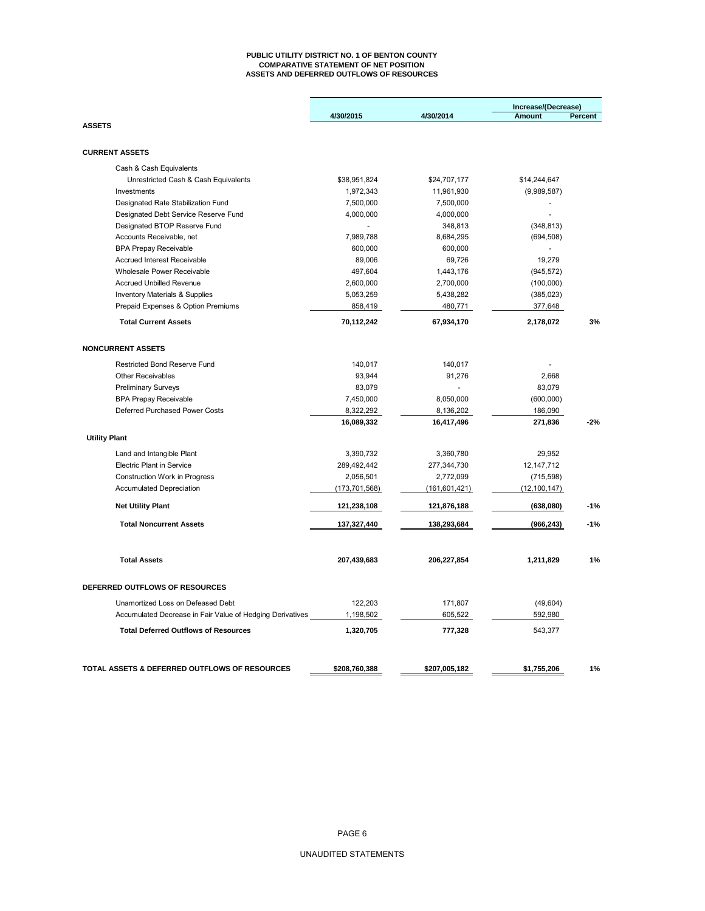#### **PUBLIC UTILITY DISTRICT NO. 1 OF BENTON COUNTY COMPARATIVE STATEMENT OF NET POSITION ASSETS AND DEFERRED OUTFLOWS OF RESOURCES**

|                                                                            |                        |                        | Increase/(Decrease)              |         |
|----------------------------------------------------------------------------|------------------------|------------------------|----------------------------------|---------|
| <b>ASSETS</b>                                                              | 4/30/2015              | 4/30/2014              | <b>Amount</b>                    | Percent |
| <b>CURRENT ASSETS</b>                                                      |                        |                        |                                  |         |
|                                                                            |                        |                        |                                  |         |
| Cash & Cash Equivalents                                                    |                        |                        |                                  |         |
| Unrestricted Cash & Cash Equivalents                                       | \$38,951,824           | \$24,707,177           | \$14,244,647                     |         |
| Investments                                                                | 1,972,343              | 11,961,930             | (9,989,587)                      |         |
| Designated Rate Stabilization Fund<br>Designated Debt Service Reserve Fund | 7,500,000<br>4,000,000 | 7,500,000<br>4,000,000 | $\overline{a}$<br>$\overline{a}$ |         |
| Designated BTOP Reserve Fund                                               | $\sim$                 | 348,813                | (348, 813)                       |         |
| Accounts Receivable, net                                                   | 7,989,788              | 8,684,295              | (694, 508)                       |         |
| <b>BPA Prepay Receivable</b>                                               | 600,000                | 600,000                | $\sim$                           |         |
| <b>Accrued Interest Receivable</b>                                         | 89,006                 | 69,726                 | 19,279                           |         |
| Wholesale Power Receivable                                                 | 497,604                | 1,443,176              | (945, 572)                       |         |
| <b>Accrued Unbilled Revenue</b>                                            | 2,600,000              | 2,700,000              | (100,000)                        |         |
| <b>Inventory Materials &amp; Supplies</b>                                  | 5,053,259              | 5,438,282              | (385, 023)                       |         |
| Prepaid Expenses & Option Premiums                                         | 858,419                | 480,771                | 377,648                          |         |
| <b>Total Current Assets</b>                                                | 70,112,242             | 67,934,170             | 2,178,072                        | 3%      |
| <b>NONCURRENT ASSETS</b>                                                   |                        |                        |                                  |         |
| Restricted Bond Reserve Fund                                               | 140,017                | 140,017                |                                  |         |
| Other Receivables                                                          | 93,944                 | 91,276                 | 2,668                            |         |
| <b>Preliminary Surveys</b>                                                 | 83,079                 |                        | 83,079                           |         |
| <b>BPA Prepay Receivable</b>                                               | 7,450,000              | 8,050,000              | (600,000)                        |         |
| Deferred Purchased Power Costs                                             | 8,322,292              | 8,136,202              | 186,090                          |         |
|                                                                            | 16,089,332             | 16,417,496             | 271,836                          | $-2%$   |
| <b>Utility Plant</b>                                                       |                        |                        |                                  |         |
|                                                                            |                        |                        |                                  |         |
| Land and Intangible Plant                                                  | 3,390,732              | 3,360,780              | 29,952                           |         |
| <b>Electric Plant in Service</b>                                           | 289,492,442            | 277,344,730            | 12, 147, 712                     |         |
| Construction Work in Progress                                              | 2,056,501              | 2,772,099              | (715, 598)                       |         |
| <b>Accumulated Depreciation</b>                                            | (173, 701, 568)        | (161, 601, 421)        | (12, 100, 147)                   |         |
| <b>Net Utility Plant</b>                                                   | 121,238,108            | 121,876,188            | (638,080)                        | $-1%$   |
| <b>Total Noncurrent Assets</b>                                             | 137,327,440            | 138,293,684            | (966, 243)                       | $-1%$   |
| <b>Total Assets</b>                                                        | 207,439,683            | 206,227,854            | 1,211,829                        | 1%      |
| DEFERRED OUTFLOWS OF RESOURCES                                             |                        |                        |                                  |         |
| Unamortized Loss on Defeased Debt                                          | 122,203                | 171,807                | (49, 604)                        |         |
| Accumulated Decrease in Fair Value of Hedging Derivatives                  | 1,198,502              | 605,522                | 592,980                          |         |
| <b>Total Deferred Outflows of Resources</b>                                | 1,320,705              | 777,328                | 543,377                          |         |
|                                                                            |                        |                        |                                  |         |
| TOTAL ASSETS & DEFERRED OUTFLOWS OF RESOURCES                              | \$208,760,388          | \$207,005,182          | \$1,755,206                      | 1%      |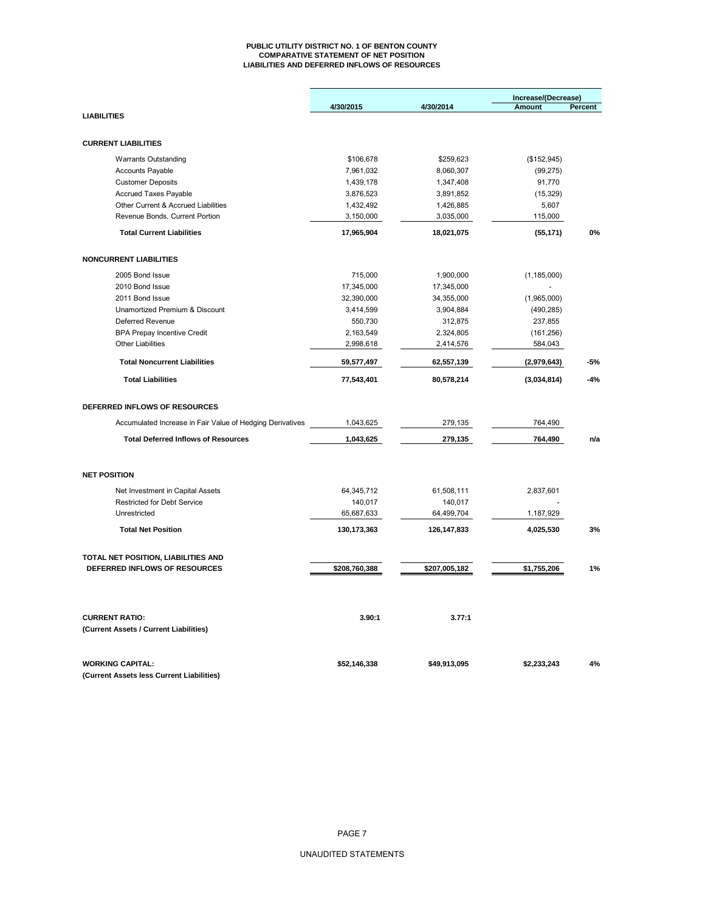#### **PUBLIC UTILITY DISTRICT NO. 1 OF BENTON COUNTY COMPARATIVE STATEMENT OF NET POSITION LIABILITIES AND DEFERRED INFLOWS OF RESOURCES**

|                                                                        |                       |                       | Increase/(Decrease) |         |  |  |
|------------------------------------------------------------------------|-----------------------|-----------------------|---------------------|---------|--|--|
|                                                                        | 4/30/2015             | 4/30/2014             | <b>Amount</b>       | Percent |  |  |
| <b>LIABILITIES</b>                                                     |                       |                       |                     |         |  |  |
| <b>CURRENT LIABILITIES</b>                                             |                       |                       |                     |         |  |  |
| <b>Warrants Outstanding</b>                                            | \$106,678             | \$259,623             | (\$152,945)         |         |  |  |
| <b>Accounts Payable</b>                                                | 7,961,032             | 8,060,307             | (99, 275)           |         |  |  |
| <b>Customer Deposits</b>                                               | 1,439,178             | 1,347,408             | 91,770              |         |  |  |
| <b>Accrued Taxes Payable</b>                                           | 3,876,523             | 3,891,852             | (15, 329)           |         |  |  |
| Other Current & Accrued Liabilities                                    | 1,432,492             | 1,426,885             | 5,607               |         |  |  |
| Revenue Bonds, Current Portion                                         | 3,150,000             | 3,035,000             | 115,000             |         |  |  |
| <b>Total Current Liabilities</b>                                       | 17,965,904            | 18,021,075            | (55, 171)           | 0%      |  |  |
| <b>NONCURRENT LIABILITIES</b>                                          |                       |                       |                     |         |  |  |
| 2005 Bond Issue                                                        | 715,000               | 1,900,000             | (1, 185, 000)       |         |  |  |
| 2010 Bond Issue                                                        | 17,345,000            | 17,345,000            |                     |         |  |  |
| 2011 Bond Issue                                                        | 32,390,000            | 34,355,000            | (1,965,000)         |         |  |  |
| Unamortized Premium & Discount                                         | 3,414,599             | 3,904,884             | (490, 285)          |         |  |  |
| Deferred Revenue                                                       | 550,730               | 312,875               | 237,855             |         |  |  |
| <b>BPA Prepay Incentive Credit</b>                                     | 2,163,549             | 2,324,805             | (161, 256)          |         |  |  |
| <b>Other Liabilities</b>                                               | 2,998,618             | 2,414,576             | 584,043             |         |  |  |
| <b>Total Noncurrent Liabilities</b>                                    | 59,577,497            | 62,557,139            | (2,979,643)         | $-5%$   |  |  |
| <b>Total Liabilities</b>                                               | 77,543,401            | 80,578,214            | (3,034,814)         | $-4%$   |  |  |
| DEFERRED INFLOWS OF RESOURCES                                          |                       |                       |                     |         |  |  |
| Accumulated Increase in Fair Value of Hedging Derivatives              | 1,043,625             | 279,135               | 764,490             |         |  |  |
| <b>Total Deferred Inflows of Resources</b>                             | 1,043,625             | 279,135               | 764,490             | n/a     |  |  |
| <b>NET POSITION</b>                                                    |                       |                       |                     |         |  |  |
|                                                                        |                       |                       |                     |         |  |  |
| Net Investment in Capital Assets<br><b>Restricted for Debt Service</b> | 64,345,712<br>140,017 | 61,508,111<br>140,017 | 2,837,601           |         |  |  |
| Unrestricted                                                           | 65,687,633            | 64,499,704            | 1,187,929           |         |  |  |
| <b>Total Net Position</b>                                              | 130, 173, 363         | 126,147,833           | 4,025,530           | 3%      |  |  |
| TOTAL NET POSITION, LIABILITIES AND                                    |                       |                       |                     |         |  |  |
| DEFERRED INFLOWS OF RESOURCES                                          | \$208,760,388         | \$207,005,182         | \$1,755,206         | 1%      |  |  |
| <b>CURRENT RATIO:</b>                                                  | 3.90:1                | 3.77:1                |                     |         |  |  |
| (Current Assets / Current Liabilities)                                 |                       |                       |                     |         |  |  |
| <b>WORKING CAPITAL:</b><br>(Current Assets less Current Liabilities)   | \$52,146,338          | \$49,913,095          | \$2,233,243         | 4%      |  |  |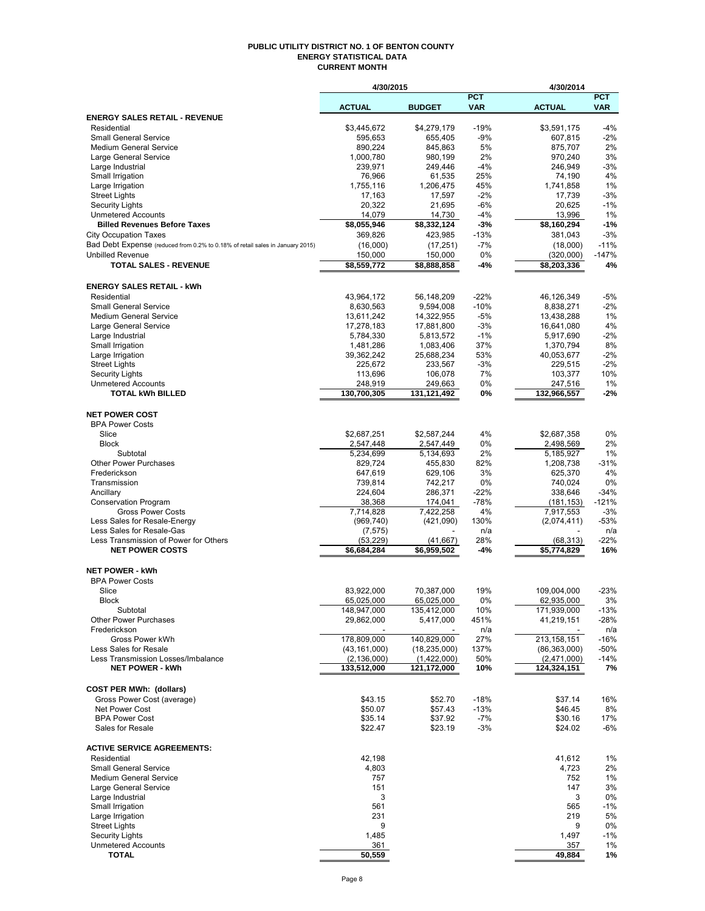#### **PUBLIC UTILITY DISTRICT NO. 1 OF BENTON COUNTY ENERGY STATISTICAL DATA CURRENT MONTH**

|                                                                               | 4/30/2015                |                           |            | 4/30/2014                 |              |
|-------------------------------------------------------------------------------|--------------------------|---------------------------|------------|---------------------------|--------------|
|                                                                               |                          |                           | <b>PCT</b> |                           | <b>PCT</b>   |
|                                                                               | <b>ACTUAL</b>            | <b>BUDGET</b>             | <b>VAR</b> | <b>ACTUAL</b>             | <b>VAR</b>   |
| <b>ENERGY SALES RETAIL - REVENUE</b><br>Residential                           | \$3,445,672              | \$4,279,179               | $-19%$     | \$3,591,175               | $-4%$        |
| <b>Small General Service</b>                                                  | 595,653                  | 655,405                   | $-9%$      | 607,815                   | $-2%$        |
| <b>Medium General Service</b>                                                 | 890,224                  | 845,863                   | 5%         | 875,707                   | 2%           |
| Large General Service                                                         | 1,000,780                | 980,199                   | 2%         | 970,240                   | 3%           |
| Large Industrial                                                              | 239,971                  | 249,446                   | $-4%$      | 246,949                   | $-3%$        |
| Small Irrigation                                                              | 76,966                   | 61,535                    | 25%        | 74,190                    | 4%           |
| Large Irrigation                                                              | 1,755,116                | 1,206,475                 | 45%        | 1,741,858                 | 1%           |
| <b>Street Lights</b>                                                          | 17,163                   | 17,597                    | -2%        | 17,739                    | $-3%$        |
| <b>Security Lights</b>                                                        | 20,322                   | 21,695                    | $-6%$      | 20,625                    | $-1%$        |
| <b>Unmetered Accounts</b>                                                     | 14,079                   | 14,730                    | $-4%$      | 13,996                    | 1%           |
| <b>Billed Revenues Before Taxes</b>                                           | \$8,055,946              | \$8,332,124               | -3%        | \$8,160,294               | $-1%$        |
| <b>City Occupation Taxes</b>                                                  | 369,826                  | 423,985                   | $-13%$     | 381,043                   | $-3%$        |
| Bad Debt Expense (reduced from 0.2% to 0.18% of retail sales in January 2015) | (16,000)                 | (17, 251)                 | $-7%$      | (18,000)                  | $-11%$       |
| <b>Unbilled Revenue</b>                                                       | 150,000                  | 150,000                   | 0%         | (320,000)                 | $-147%$      |
| <b>TOTAL SALES - REVENUE</b>                                                  | \$8,559,772              | \$8,888,858               | -4%        | \$8,203,336               | 4%           |
| <b>ENERGY SALES RETAIL - kWh</b>                                              |                          |                           |            |                           |              |
| Residential                                                                   | 43,964,172               | 56,148,209                | $-22%$     | 46,126,349                | $-5%$        |
| <b>Small General Service</b>                                                  | 8,630,563                | 9,594,008                 | $-10%$     | 8,838,271                 | $-2%$        |
| <b>Medium General Service</b>                                                 | 13,611,242               | 14,322,955                | $-5%$      | 13,438,288                | 1%           |
| Large General Service                                                         | 17,278,183               | 17,881,800                | $-3%$      | 16,641,080                | 4%           |
| Large Industrial                                                              | 5,784,330                | 5,813,572                 | $-1%$      | 5,917,690                 | $-2%$        |
| Small Irrigation                                                              | 1,481,286                | 1,083,406                 | 37%        | 1,370,794                 | 8%           |
| Large Irrigation                                                              | 39,362,242               | 25,688,234                | 53%        | 40,053,677                | $-2%$        |
| <b>Street Lights</b>                                                          | 225,672                  | 233,567                   | $-3%$      | 229,515                   | $-2%$        |
| Security Lights                                                               | 113,696                  | 106,078                   | 7%         | 103,377                   | 10%          |
| <b>Unmetered Accounts</b>                                                     | 248,919                  | 249,663                   | 0%         | 247,516                   | 1%           |
| <b>TOTAL kWh BILLED</b>                                                       | 130,700,305              | 131,121,492               | 0%         | 132,966,557               | $-2%$        |
|                                                                               |                          |                           |            |                           |              |
| <b>NET POWER COST</b>                                                         |                          |                           |            |                           |              |
| <b>BPA Power Costs</b>                                                        |                          |                           |            |                           |              |
| Slice                                                                         | \$2,687,251              | \$2,587,244               | 4%         | \$2,687,358               | 0%           |
| <b>Block</b><br>Subtotal                                                      | 2,547,448<br>5,234,699   | 2,547,449<br>5,134,693    | 0%<br>2%   | 2,498,569<br>5,185,927    | 2%<br>1%     |
| <b>Other Power Purchases</b>                                                  | 829,724                  | 455,830                   | 82%        | 1,208,738                 | $-31%$       |
| Frederickson                                                                  | 647,619                  | 629,106                   | 3%         | 625,370                   | 4%           |
| Transmission                                                                  | 739,814                  | 742,217                   | 0%         | 740,024                   | 0%           |
| Ancillary                                                                     | 224,604                  | 286,371                   | $-22%$     | 338,646                   | $-34%$       |
| <b>Conservation Program</b>                                                   | 38,368                   | 174,041                   | $-78%$     | (181, 153)                | $-121%$      |
| <b>Gross Power Costs</b>                                                      | 7,714,828                | 7,422,258                 | 4%         | 7,917,553                 | $-3%$        |
| Less Sales for Resale-Energy                                                  | (969, 740)               | (421,090)                 | 130%       | (2,074,411)               | $-53%$       |
| Less Sales for Resale-Gas                                                     | (7, 575)                 |                           | n/a        |                           | n/a          |
| Less Transmission of Power for Others                                         | (53, 229)                | (41, 667)                 | 28%        | (68, 313)                 | -22%         |
| <b>NET POWER COSTS</b>                                                        | \$6,684,284              | \$6,959,502               | -4%        | \$5,774,829               | 16%          |
|                                                                               |                          |                           |            |                           |              |
| <b>NET POWER - kWh</b>                                                        |                          |                           |            |                           |              |
| <b>BPA Power Costs</b>                                                        |                          |                           |            |                           |              |
| Slice                                                                         | 83,922,000<br>65,025,000 | 70,387,000                | 19%        | 109,004,000               | $-23%$       |
| <b>Block</b><br>Subtotal                                                      | 148,947,000              | 65,025,000<br>135,412,000 | 0%<br>10%  | 62,935,000<br>171,939,000 | 3%<br>$-13%$ |
| <b>Other Power Purchases</b>                                                  | 29,862,000               | 5,417,000                 | 451%       | 41,219,151                | -28%         |
| Frederickson                                                                  |                          |                           | n/a        |                           | n/a          |
| Gross Power kWh                                                               | 178,809,000              | 140,829,000               | 27%        | 213,158,151               | $-16%$       |
| Less Sales for Resale                                                         | (43, 161, 000)           | (18, 235, 000)            | 137%       | (86, 363, 000)            | -50%         |
| Less Transmission Losses/Imbalance                                            | (2, 136, 000)            | (1,422,000)               | 50%        | (2,471,000)               | $-14%$       |
| <b>NET POWER - kWh</b>                                                        | 133,512,000              | 121,172,000               | 10%        | 124,324,151               | 7%           |
|                                                                               |                          |                           |            |                           |              |
| <b>COST PER MWh: (dollars)</b>                                                |                          |                           |            |                           |              |
| Gross Power Cost (average)                                                    | \$43.15                  | \$52.70                   | $-18%$     | \$37.14                   | 16%          |
| Net Power Cost                                                                | \$50.07                  | \$57.43                   | $-13%$     | \$46.45                   | 8%           |
| <b>BPA Power Cost</b>                                                         | \$35.14                  | \$37.92                   | $-7%$      | \$30.16                   | 17%          |
| Sales for Resale                                                              | \$22.47                  | \$23.19                   | $-3%$      | \$24.02                   | -6%          |
| <b>ACTIVE SERVICE AGREEMENTS:</b>                                             |                          |                           |            |                           |              |
| Residential                                                                   |                          |                           |            | 41,612                    |              |
| <b>Small General Service</b>                                                  | 42,198<br>4,803          |                           |            | 4,723                     | 1%<br>2%     |
| <b>Medium General Service</b>                                                 | 757                      |                           |            | 752                       | 1%           |
| Large General Service                                                         | 151                      |                           |            | 147                       | 3%           |
| Large Industrial                                                              | 3                        |                           |            | 3                         | 0%           |
| Small Irrigation                                                              | 561                      |                           |            | 565                       | $-1%$        |
| Large Irrigation                                                              | 231                      |                           |            | 219                       | 5%           |
| <b>Street Lights</b>                                                          | 9                        |                           |            | 9                         | 0%           |
| <b>Security Lights</b>                                                        | 1,485                    |                           |            | 1,497                     | $-1%$        |
| <b>Unmetered Accounts</b>                                                     | 361                      |                           |            | 357                       | 1%           |
| <b>TOTAL</b>                                                                  | 50,559                   |                           |            | 49,884                    | 1%           |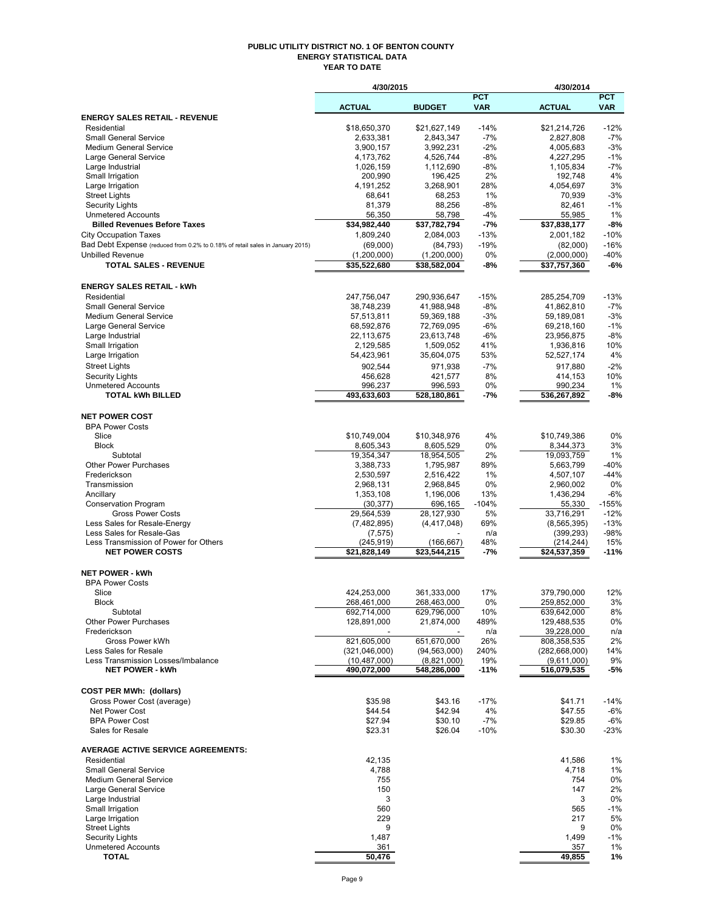#### **PUBLIC UTILITY DISTRICT NO. 1 OF BENTON COUNTY ENERGY STATISTICAL DATA YEAR TO DATE**

|                                                                                                               | 4/30/2015                     |                            |                          | 4/30/2014                  |                          |
|---------------------------------------------------------------------------------------------------------------|-------------------------------|----------------------------|--------------------------|----------------------------|--------------------------|
|                                                                                                               | <b>ACTUAL</b>                 | <b>BUDGET</b>              | <b>PCT</b><br><b>VAR</b> | <b>ACTUAL</b>              | <b>PCT</b><br><b>VAR</b> |
| <b>ENERGY SALES RETAIL - REVENUE</b>                                                                          |                               |                            |                          |                            |                          |
| Residential                                                                                                   | \$18.650.370                  | \$21,627,149               | $-14%$                   | \$21,214,726               | $-12%$                   |
| <b>Small General Service</b>                                                                                  | 2,633,381                     | 2,843,347                  | $-7%$                    | 2,827,808                  | $-7%$                    |
| <b>Medium General Service</b>                                                                                 | 3,900,157                     | 3,992,231                  | $-2\%$                   | 4,005,683                  | $-3%$                    |
| Large General Service                                                                                         | 4,173,762                     | 4,526,744                  | $-8%$                    | 4,227,295                  | $-1%$                    |
| Large Industrial<br>Small Irrigation                                                                          | 1,026,159<br>200,990          | 1,112,690<br>196,425       | -8%<br>2%                | 1,105,834<br>192,748       | $-7%$<br>4%              |
| Large Irrigation                                                                                              | 4,191,252                     | 3,268,901                  | 28%                      | 4,054,697                  | 3%                       |
| <b>Street Lights</b>                                                                                          | 68,641                        | 68,253                     | 1%                       | 70,939                     | $-3%$                    |
| <b>Security Lights</b>                                                                                        | 81,379                        | 88,256                     | $-8%$                    | 82,461                     | $-1%$                    |
| <b>Unmetered Accounts</b>                                                                                     | 56,350                        | 58,798                     | -4%                      | 55,985                     | 1%                       |
| <b>Billed Revenues Before Taxes</b>                                                                           | \$34,982,440                  | \$37,782,794               | $-7%$                    | \$37,838,177               | $-8%$                    |
| <b>City Occupation Taxes</b><br>Bad Debt Expense (reduced from 0.2% to 0.18% of retail sales in January 2015) | 1,809,240                     | 2,084,003                  | $-13%$<br>$-19%$         | 2,001,182                  | $-10%$<br>$-16%$         |
| <b>Unbilled Revenue</b>                                                                                       | (69,000)<br>(1,200,000)       | (84, 793)<br>(1,200,000)   | 0%                       | (82,000)<br>(2,000,000)    | $-40%$                   |
| <b>TOTAL SALES - REVENUE</b>                                                                                  | \$35,522,680                  | \$38,582,004               | -8%                      | \$37,757,360               | $-6%$                    |
|                                                                                                               |                               |                            |                          |                            |                          |
| <b>ENERGY SALES RETAIL - kWh</b>                                                                              |                               |                            |                          |                            |                          |
| Residential                                                                                                   | 247,756,047                   | 290,936,647                | $-15%$                   | 285,254,709                | $-13%$                   |
| <b>Small General Service</b>                                                                                  | 38,748,239                    | 41,988,948                 | -8%                      | 41,862,810                 | $-7%$                    |
| Medium General Service                                                                                        | 57,513,811                    | 59,369,188                 | -3%                      | 59,189,081                 | $-3%$                    |
| Large General Service                                                                                         | 68,592,876                    | 72,769,095                 | $-6%$                    | 69,218,160                 | $-1%$                    |
| Large Industrial<br>Small Irrigation                                                                          | 22,113,675<br>2,129,585       | 23,613,748<br>1,509,052    | -6%<br>41%               | 23,956,875<br>1,936,816    | $-8%$<br>10%             |
| Large Irrigation                                                                                              | 54,423,961                    | 35,604,075                 | 53%                      | 52,527,174                 | 4%                       |
| <b>Street Lights</b>                                                                                          | 902,544                       | 971.938                    | $-7%$                    | 917.880                    | $-2%$                    |
| <b>Security Lights</b>                                                                                        | 456.628                       | 421,577                    | 8%                       | 414,153                    | 10%                      |
| <b>Unmetered Accounts</b>                                                                                     | 996,237                       | 996,593                    | 0%                       | 990,234                    | 1%                       |
| <b>TOTAL kWh BILLED</b>                                                                                       | 493,633,603                   | 528,180,861                | -7%                      | 536,267,892                | -8%                      |
|                                                                                                               |                               |                            |                          |                            |                          |
| <b>NET POWER COST</b>                                                                                         |                               |                            |                          |                            |                          |
| <b>BPA Power Costs</b><br>Slice                                                                               | \$10,749,004                  | \$10,348,976               | 4%                       | \$10,749,386               | 0%                       |
| <b>Block</b>                                                                                                  | 8,605,343                     | 8,605,529                  | 0%                       | 8,344,373                  | 3%                       |
| Subtotal                                                                                                      | 19,354,347                    | 18,954,505                 | 2%                       | 19,093,759                 | 1%                       |
| <b>Other Power Purchases</b>                                                                                  | 3,388,733                     | 1,795,987                  | 89%                      | 5,663,799                  | $-40%$                   |
| Frederickson                                                                                                  | 2,530,597                     | 2,516,422                  | 1%                       | 4,507,107                  | $-44%$                   |
| Transmission                                                                                                  | 2,968,131                     | 2,968,845                  | 0%                       | 2,960,002                  | 0%                       |
| Ancillary                                                                                                     | 1,353,108                     | 1,196,006                  | 13%                      | 1,436,294                  | $-6%$                    |
| <b>Conservation Program</b>                                                                                   | (30, 377)                     | 696,165<br>28,127,930      | $-104%$                  | 55,330<br>33,716,291       | $-155%$<br>$-12%$        |
| <b>Gross Power Costs</b><br>Less Sales for Resale-Energy                                                      | 29,564,539<br>(7,482,895)     | (4, 417, 048)              | 5%<br>69%                | (8, 565, 395)              | $-13%$                   |
| Less Sales for Resale-Gas                                                                                     | (7, 575)                      |                            | n/a                      | (399, 293)                 | $-98%$                   |
| Less Transmission of Power for Others                                                                         | (245, 919)                    | (166, 667)                 | 48%                      | (214, 244)                 | 15%                      |
| <b>NET POWER COSTS</b>                                                                                        | \$21,828,149                  | \$23,544,215               | -7%                      | \$24,537,359               | $-11%$                   |
|                                                                                                               |                               |                            |                          |                            |                          |
| <b>NET POWER - kWh</b><br><b>BPA Power Costs</b>                                                              |                               |                            |                          |                            |                          |
| Slice                                                                                                         | 424,253,000                   | 361.333.000                | 17%                      | 379,790,000                | 12%                      |
| Block                                                                                                         | 268,461,000                   | 268,463,000                | 0%                       | 259,852,000                | 3%                       |
| Subtotal                                                                                                      | 692,714,000                   | 629,796,000                | 10%                      | 639,642,000                | 8%                       |
| <b>Other Power Purchases</b>                                                                                  | 128,891,000                   | 21,874,000                 | 489%                     | 129,488,535                | 0%                       |
| Frederickson                                                                                                  |                               |                            | n/a                      | 39,228,000                 | n/a                      |
| Gross Power kWh                                                                                               | 821,605,000                   | 651,670,000                | 26%                      | 808,358,535                | 2%                       |
| Less Sales for Resale<br>Less Transmission Losses/Imbalance                                                   | (321,046,000)                 | (94, 563, 000)             | 240%                     | (282, 668, 000)            | 14%<br>9%                |
| <b>NET POWER - kWh</b>                                                                                        | (10, 487, 000)<br>490,072,000 | (8,821,000)<br>548,286,000 | 19%<br>$-11%$            | (9,611,000)<br>516,079,535 | -5%                      |
|                                                                                                               |                               |                            |                          |                            |                          |
| <b>COST PER MWh: (dollars)</b>                                                                                |                               |                            |                          |                            |                          |
| Gross Power Cost (average)                                                                                    | \$35.98                       | \$43.16                    | $-17%$                   | \$41.71                    | $-14%$                   |
| Net Power Cost                                                                                                | \$44.54                       | \$42.94                    | 4%                       | \$47.55                    | $-6%$                    |
| <b>BPA Power Cost</b>                                                                                         | \$27.94                       | \$30.10                    | $-7%$                    | \$29.85                    | $-6%$                    |
| Sales for Resale                                                                                              | \$23.31                       | \$26.04                    | $-10%$                   | \$30.30                    | -23%                     |
| <b>AVERAGE ACTIVE SERVICE AGREEMENTS:</b>                                                                     |                               |                            |                          |                            |                          |
| Residential                                                                                                   | 42,135                        |                            |                          | 41,586                     | 1%                       |
| <b>Small General Service</b>                                                                                  | 4,788                         |                            |                          | 4,718                      | 1%                       |
| <b>Medium General Service</b>                                                                                 | 755                           |                            |                          | 754                        | 0%                       |
| Large General Service                                                                                         | 150                           |                            |                          | 147                        | 2%                       |
| Large Industrial                                                                                              | 3                             |                            |                          | 3                          | 0%                       |
| Small Irrigation<br>Large Irrigation                                                                          | 560<br>229                    |                            |                          | 565<br>217                 | $-1%$<br>5%              |
| <b>Street Lights</b>                                                                                          | 9                             |                            |                          | 9                          | 0%                       |
| <b>Security Lights</b>                                                                                        | 1,487                         |                            |                          | 1,499                      | $-1%$                    |
| <b>Unmetered Accounts</b>                                                                                     | 361                           |                            |                          | 357                        | 1%                       |
| <b>TOTAL</b>                                                                                                  | 50,476                        |                            |                          | 49,855                     | 1%                       |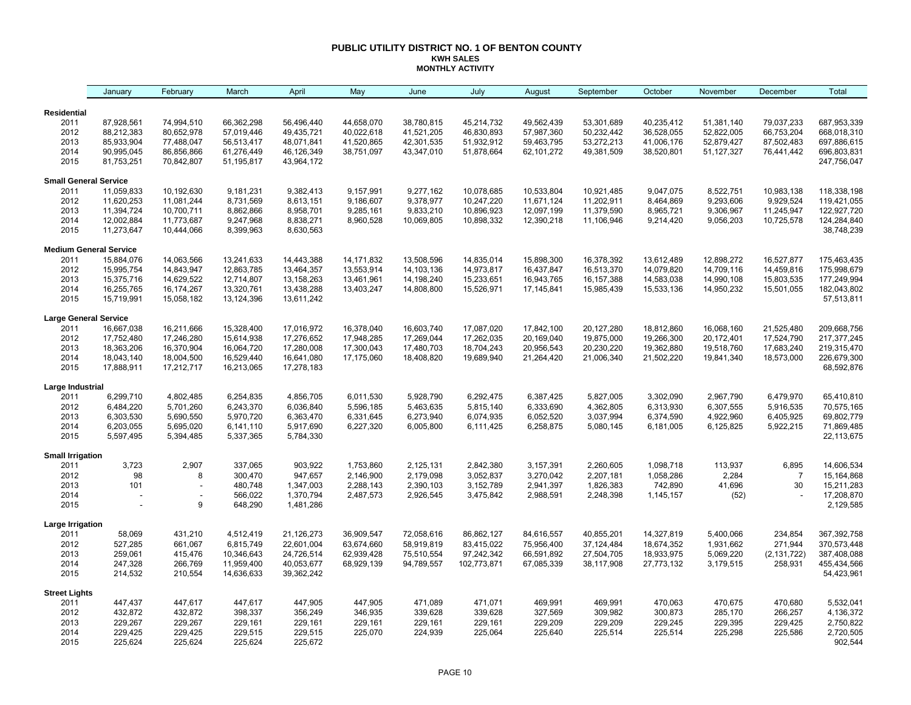#### **PUBLIC UTILITY DISTRICT NO. 1 OF BENTON COUNTY KWH SALES MONTHLY ACTIVITY**

| Residential<br>2011<br>87,928,561<br>66,362,298<br>56,496,440<br>44,658,070<br>38,780,815<br>45,214,732<br>49,562,439<br>53,301,689<br>40,235,412<br>51,381,140<br>79,037,233<br>687,953,339<br>74,994,510<br>2012<br>88,212,383<br>80,652,978<br>57,019,446<br>49,435,721<br>40,022,618<br>41,521,205<br>46,830,893<br>57,987,360<br>50,232,442<br>36,528,055<br>52,822,005<br>66,753,204<br>668,018,310<br>85,933,904<br>697,886,615<br>2013<br>77,488,047<br>56,513,417<br>48,071,841<br>41,520,865<br>42,301,535<br>51,932,912<br>59,463,795<br>53,272,213<br>41,006,176<br>52,879,427<br>87,502,483<br>2014<br>90,995,045<br>86,856,866<br>46,126,349<br>38,751,097<br>43,347,010<br>51,878,664<br>62,101,272<br>49,381,509<br>38,520,801<br>51,127,327<br>76,441,442<br>696,803,831<br>61,276,449<br>2015<br>81,753,251<br>51,195,817<br>43,964,172<br>247,756,047<br>70,842,807<br><b>Small General Service</b><br>118,338,198<br>2011<br>11,059,833<br>10,192,630<br>9,181,231<br>9,382,413<br>9,157,991<br>9,277,162<br>10,078,685<br>10,533,804<br>10,921,485<br>9,047,075<br>8,522,751<br>10,983,138<br>2012<br>11,620,253<br>11,081,244<br>8,731,569<br>8,613,151<br>9,186,607<br>9,378,977<br>11,202,911<br>8,464,869<br>9,293,606<br>9,929,524<br>119,421,055<br>10,247,220<br>11,671,124<br>2013<br>11,394,724<br>10,700,711<br>8,862,866<br>9,833,210<br>10,896,923<br>11,379,590<br>8,965,721<br>9,306,967<br>122,927,720<br>8,958,701<br>9,285,161<br>12,097,199<br>11,245,947<br>2014<br>12,002,884<br>8,838,271<br>8,960,528<br>10,898,332<br>12,390,218<br>9,056,203<br>10,725,578<br>124,284,840<br>11,773,687<br>9,247,968<br>10,069,805<br>11,106,946<br>9,214,420<br>2015<br>11,273,647<br>10,444,066<br>8,399,963<br>8,630,563<br>38,748,239<br><b>Medium General Service</b><br>2011<br>15,884,076<br>14,063,566<br>13,241,633<br>14,443,388<br>14, 171, 832<br>13,508,596<br>14,835,014<br>15,898,300<br>16,378,392<br>13,612,489<br>12,898,272<br>16,527,877<br>175,463,435<br>2012<br>15,995,754<br>14,843,947<br>12,863,785<br>13,464,357<br>13,553,914<br>14,103,136<br>14,973,817<br>16,437,847<br>16,513,370<br>14,079,820<br>14,709,116<br>14,459,816<br>175,998,679<br>2013<br>15,375,716<br>14,629,522<br>12,714,807<br>13,158,263<br>177,249,994<br>13,461,961<br>14,198,240<br>15,233,651<br>16,943,765<br>16,157,388<br>14,583,038<br>14,990,108<br>15,803,535<br>2014<br>16,255,765<br>16,174,267<br>13,320,761<br>13,438,288<br>13,403,247<br>14,808,800<br>15,526,971<br>15,985,439<br>15,533,136<br>14,950,232<br>15,501,055<br>182,043,802<br>17, 145, 841<br>2015<br>15,058,182<br>13,611,242<br>57,513,811<br>15,719,991<br>13,124,396<br><b>Large General Service</b><br>2011<br>16,667,038<br>16,211,666<br>15,328,400<br>17,016,972<br>16,378,040<br>16,603,740<br>17,087,020<br>17,842,100<br>20,127,280<br>18,812,860<br>16,068,160<br>21,525,480<br>209,668,756<br>2012<br>17,262,035<br>19,875,000<br>17,752,480<br>17,246,280<br>15,614,938<br>17,276,652<br>17,948,285<br>17,269,044<br>20,169,040<br>19,266,300<br>20,172,401<br>17,524,790<br>217,377,245<br>2013<br>18,363,206<br>16,370,904<br>16,064,720<br>17,280,008<br>18,704,243<br>20,230,220<br>19,362,880<br>17,683,240<br>219,315,470<br>17,300,043<br>17,480,703<br>20,956,543<br>19,518,760<br>2014<br>18,004,500<br>16,529,440<br>226,679,300<br>18,043,140<br>16,641,080<br>17,175,060<br>18,408,820<br>19,689,940<br>21,264,420<br>21,006,340<br>21,502,220<br>19,841,340<br>18,573,000<br>2015<br>17,888,911<br>17,278,183<br>68,592,876<br>17,212,717<br>16,213,065<br>Large Industrial<br>6,299,710<br>4,802,485<br>6,254,835<br>5,928,790<br>6,292,475<br>5,827,005<br>3,302,090<br>2,967,790<br>6,479,970<br>65,410,810<br>2011<br>4,856,705<br>6,011,530<br>6,387,425<br>2012<br>6,484,220<br>5,701,260<br>6,243,370<br>6,036,840<br>5,596,185<br>5,463,635<br>5,815,140<br>6,333,690<br>4,362,805<br>6,313,930<br>6,307,555<br>5,916,535<br>70,575,165<br>69,802,779<br>2013<br>6,303,530<br>5,690,550<br>5,970,720<br>6,363,470<br>6,331,645<br>6,273,940<br>6,074,935<br>6,052,520<br>3,037,994<br>4,922,960<br>6,405,925<br>6,374,590<br>71,869,485<br>2014<br>6,203,055<br>5,695,020<br>6,141,110<br>5,917,690<br>6,227,320<br>6,005,800<br>6,111,425<br>6,258,875<br>5,080,145<br>6,181,005<br>6,125,825<br>5,922,215<br>2015<br>5,597,495<br>5,394,485<br>5,337,365<br>5,784,330<br>22,113,675<br><b>Small Irrigation</b><br>3,723<br>2,907<br>337,065<br>903,922<br>1,753,860<br>2,125,131<br>2,842,380<br>2,260,605<br>1,098,718<br>113,937<br>6,895<br>14,606,534<br>2011<br>3,157,391<br>2012<br>300,470<br>947,657<br>98<br>2,146,900<br>2,179,098<br>3,052,837<br>3,270,042<br>2,207,181<br>1,058,286<br>2,284<br>$\overline{7}$<br>15,164,868<br>8<br>2013<br>742,890<br>30<br>15,211,283<br>101<br>480,748<br>1,347,003<br>2,288,143<br>2,390,103<br>3,152,789<br>2,941,397<br>1,826,383<br>41,696<br>2014<br>1,370,794<br>17,208,870<br>566,022<br>2,487,573<br>2,926,545<br>3,475,842<br>2,988,591<br>2,248,398<br>1,145,157<br>(52)<br>2015<br>9<br>648,290<br>1,481,286<br>2,129,585<br>Large Irrigation<br>2011<br>431,210<br>4,512,419<br>21,126,273<br>36,909,547<br>72,058,616<br>86,862,127<br>40,855,201<br>14,327,819<br>234,854<br>367,392,758<br>58,069<br>84,616,557<br>5,400,066<br>2012<br>527,285<br>661,067<br>22,601,004<br>63,674,660<br>58,919,819<br>83,415,022<br>75,956,400<br>37,124,484<br>18,674,352<br>1,931,662<br>271,944<br>370,573,448<br>6,815,749<br>2013<br>259,061<br>415,476<br>10,346,643<br>24,726,514<br>62,939,428<br>97,242,342<br>27,504,705<br>18,933,975<br>5,069,220<br>(2, 131, 722)<br>387,408,088<br>75,510,554<br>66,591,892<br>2014<br>247,328<br>266,769<br>11,959,400<br>40,053,677<br>3,179,515<br>258,931<br>455,434,566<br>68,929,139<br>94,789,557<br>102,773,871<br>67,085,339<br>38,117,908<br>27,773,132<br>2015<br>214,532<br>210,554<br>14,636,633<br>39,362,242<br>54,423,961<br><b>Street Lights</b><br>447,617<br>447,617<br>447,905<br>471,089<br>469,991<br>469,991<br>470,063<br>470,675<br>470,680<br>5,532,041<br>2011<br>447,437<br>447,905<br>471,071<br>2012<br>432,872<br>432,872<br>398,337<br>356,249<br>346,935<br>339,628<br>327,569<br>309,982<br>266,257<br>4,136,372<br>339,628<br>300,873<br>285,170<br>2013<br>229,267<br>229,267<br>229,161<br>229,161<br>229,161<br>229,161<br>229,209<br>229,209<br>229,245<br>229,395<br>229,425<br>2,750,822<br>229,161<br>2014<br>229,425<br>229,425<br>229,515<br>229,515<br>225,070<br>224,939<br>225,064<br>225,640<br>225,514<br>225,514<br>225,298<br>225,586<br>2,720,505 |      | January | February | March   | April   | May | June | July | August | September | October | November | December | Total   |
|---------------------------------------------------------------------------------------------------------------------------------------------------------------------------------------------------------------------------------------------------------------------------------------------------------------------------------------------------------------------------------------------------------------------------------------------------------------------------------------------------------------------------------------------------------------------------------------------------------------------------------------------------------------------------------------------------------------------------------------------------------------------------------------------------------------------------------------------------------------------------------------------------------------------------------------------------------------------------------------------------------------------------------------------------------------------------------------------------------------------------------------------------------------------------------------------------------------------------------------------------------------------------------------------------------------------------------------------------------------------------------------------------------------------------------------------------------------------------------------------------------------------------------------------------------------------------------------------------------------------------------------------------------------------------------------------------------------------------------------------------------------------------------------------------------------------------------------------------------------------------------------------------------------------------------------------------------------------------------------------------------------------------------------------------------------------------------------------------------------------------------------------------------------------------------------------------------------------------------------------------------------------------------------------------------------------------------------------------------------------------------------------------------------------------------------------------------------------------------------------------------------------------------------------------------------------------------------------------------------------------------------------------------------------------------------------------------------------------------------------------------------------------------------------------------------------------------------------------------------------------------------------------------------------------------------------------------------------------------------------------------------------------------------------------------------------------------------------------------------------------------------------------------------------------------------------------------------------------------------------------------------------------------------------------------------------------------------------------------------------------------------------------------------------------------------------------------------------------------------------------------------------------------------------------------------------------------------------------------------------------------------------------------------------------------------------------------------------------------------------------------------------------------------------------------------------------------------------------------------------------------------------------------------------------------------------------------------------------------------------------------------------------------------------------------------------------------------------------------------------------------------------------------------------------------------------------------------------------------------------------------------------------------------------------------------------------------------------------------------------------------------------------------------------------------------------------------------------------------------------------------------------------------------------------------------------------------------------------------------------------------------------------------------------------------------------------------------------------------------------------------------------------------------------------------------------------------------------------------------------------------------------------------------------------------------------------------------------------------------------------------------------------------------------------------------------------------------------------------------------------------------------------------------------------------------------------------------------------------------------------------------------------------------------------------------------------------------------------------------------------------------------------------------------------------------------------------------------------------------------------------------------------------------------------------------------------------------------------------------------------------------------------------------------------------------------------------------------------------------------------------------------------------------------------------------------------------------------------------------------------------------------------------------------------------------------------------------------------------------------------------------------------------------------------------------------------------------------------------------------------------------------------------------------------------------------------------------------------------------------------------------------------------------------------------------------------------------------------------------------------------------------------------------------------------------------------------------------------------------------------------------------------------------------------------------------------------------------------------------------------------------------------------|------|---------|----------|---------|---------|-----|------|------|--------|-----------|---------|----------|----------|---------|
|                                                                                                                                                                                                                                                                                                                                                                                                                                                                                                                                                                                                                                                                                                                                                                                                                                                                                                                                                                                                                                                                                                                                                                                                                                                                                                                                                                                                                                                                                                                                                                                                                                                                                                                                                                                                                                                                                                                                                                                                                                                                                                                                                                                                                                                                                                                                                                                                                                                                                                                                                                                                                                                                                                                                                                                                                                                                                                                                                                                                                                                                                                                                                                                                                                                                                                                                                                                                                                                                                                                                                                                                                                                                                                                                                                                                                                                                                                                                                                                                                                                                                                                                                                                                                                                                                                                                                                                                                                                                                                                                                                                                                                                                                                                                                                                                                                                                                                                                                                                                                                                                                                                                                                                                                                                                                                                                                                                                                                                                                                                                                                                                                                                                                                                                                                                                                                                                                                                                                                                                                                                                                                                                                                                                                                                                                                                                                                                                                                                                                                                                                                                                                                                         |      |         |          |         |         |     |      |      |        |           |         |          |          |         |
|                                                                                                                                                                                                                                                                                                                                                                                                                                                                                                                                                                                                                                                                                                                                                                                                                                                                                                                                                                                                                                                                                                                                                                                                                                                                                                                                                                                                                                                                                                                                                                                                                                                                                                                                                                                                                                                                                                                                                                                                                                                                                                                                                                                                                                                                                                                                                                                                                                                                                                                                                                                                                                                                                                                                                                                                                                                                                                                                                                                                                                                                                                                                                                                                                                                                                                                                                                                                                                                                                                                                                                                                                                                                                                                                                                                                                                                                                                                                                                                                                                                                                                                                                                                                                                                                                                                                                                                                                                                                                                                                                                                                                                                                                                                                                                                                                                                                                                                                                                                                                                                                                                                                                                                                                                                                                                                                                                                                                                                                                                                                                                                                                                                                                                                                                                                                                                                                                                                                                                                                                                                                                                                                                                                                                                                                                                                                                                                                                                                                                                                                                                                                                                                         |      |         |          |         |         |     |      |      |        |           |         |          |          |         |
|                                                                                                                                                                                                                                                                                                                                                                                                                                                                                                                                                                                                                                                                                                                                                                                                                                                                                                                                                                                                                                                                                                                                                                                                                                                                                                                                                                                                                                                                                                                                                                                                                                                                                                                                                                                                                                                                                                                                                                                                                                                                                                                                                                                                                                                                                                                                                                                                                                                                                                                                                                                                                                                                                                                                                                                                                                                                                                                                                                                                                                                                                                                                                                                                                                                                                                                                                                                                                                                                                                                                                                                                                                                                                                                                                                                                                                                                                                                                                                                                                                                                                                                                                                                                                                                                                                                                                                                                                                                                                                                                                                                                                                                                                                                                                                                                                                                                                                                                                                                                                                                                                                                                                                                                                                                                                                                                                                                                                                                                                                                                                                                                                                                                                                                                                                                                                                                                                                                                                                                                                                                                                                                                                                                                                                                                                                                                                                                                                                                                                                                                                                                                                                                         |      |         |          |         |         |     |      |      |        |           |         |          |          |         |
|                                                                                                                                                                                                                                                                                                                                                                                                                                                                                                                                                                                                                                                                                                                                                                                                                                                                                                                                                                                                                                                                                                                                                                                                                                                                                                                                                                                                                                                                                                                                                                                                                                                                                                                                                                                                                                                                                                                                                                                                                                                                                                                                                                                                                                                                                                                                                                                                                                                                                                                                                                                                                                                                                                                                                                                                                                                                                                                                                                                                                                                                                                                                                                                                                                                                                                                                                                                                                                                                                                                                                                                                                                                                                                                                                                                                                                                                                                                                                                                                                                                                                                                                                                                                                                                                                                                                                                                                                                                                                                                                                                                                                                                                                                                                                                                                                                                                                                                                                                                                                                                                                                                                                                                                                                                                                                                                                                                                                                                                                                                                                                                                                                                                                                                                                                                                                                                                                                                                                                                                                                                                                                                                                                                                                                                                                                                                                                                                                                                                                                                                                                                                                                                         |      |         |          |         |         |     |      |      |        |           |         |          |          |         |
|                                                                                                                                                                                                                                                                                                                                                                                                                                                                                                                                                                                                                                                                                                                                                                                                                                                                                                                                                                                                                                                                                                                                                                                                                                                                                                                                                                                                                                                                                                                                                                                                                                                                                                                                                                                                                                                                                                                                                                                                                                                                                                                                                                                                                                                                                                                                                                                                                                                                                                                                                                                                                                                                                                                                                                                                                                                                                                                                                                                                                                                                                                                                                                                                                                                                                                                                                                                                                                                                                                                                                                                                                                                                                                                                                                                                                                                                                                                                                                                                                                                                                                                                                                                                                                                                                                                                                                                                                                                                                                                                                                                                                                                                                                                                                                                                                                                                                                                                                                                                                                                                                                                                                                                                                                                                                                                                                                                                                                                                                                                                                                                                                                                                                                                                                                                                                                                                                                                                                                                                                                                                                                                                                                                                                                                                                                                                                                                                                                                                                                                                                                                                                                                         |      |         |          |         |         |     |      |      |        |           |         |          |          |         |
|                                                                                                                                                                                                                                                                                                                                                                                                                                                                                                                                                                                                                                                                                                                                                                                                                                                                                                                                                                                                                                                                                                                                                                                                                                                                                                                                                                                                                                                                                                                                                                                                                                                                                                                                                                                                                                                                                                                                                                                                                                                                                                                                                                                                                                                                                                                                                                                                                                                                                                                                                                                                                                                                                                                                                                                                                                                                                                                                                                                                                                                                                                                                                                                                                                                                                                                                                                                                                                                                                                                                                                                                                                                                                                                                                                                                                                                                                                                                                                                                                                                                                                                                                                                                                                                                                                                                                                                                                                                                                                                                                                                                                                                                                                                                                                                                                                                                                                                                                                                                                                                                                                                                                                                                                                                                                                                                                                                                                                                                                                                                                                                                                                                                                                                                                                                                                                                                                                                                                                                                                                                                                                                                                                                                                                                                                                                                                                                                                                                                                                                                                                                                                                                         |      |         |          |         |         |     |      |      |        |           |         |          |          |         |
|                                                                                                                                                                                                                                                                                                                                                                                                                                                                                                                                                                                                                                                                                                                                                                                                                                                                                                                                                                                                                                                                                                                                                                                                                                                                                                                                                                                                                                                                                                                                                                                                                                                                                                                                                                                                                                                                                                                                                                                                                                                                                                                                                                                                                                                                                                                                                                                                                                                                                                                                                                                                                                                                                                                                                                                                                                                                                                                                                                                                                                                                                                                                                                                                                                                                                                                                                                                                                                                                                                                                                                                                                                                                                                                                                                                                                                                                                                                                                                                                                                                                                                                                                                                                                                                                                                                                                                                                                                                                                                                                                                                                                                                                                                                                                                                                                                                                                                                                                                                                                                                                                                                                                                                                                                                                                                                                                                                                                                                                                                                                                                                                                                                                                                                                                                                                                                                                                                                                                                                                                                                                                                                                                                                                                                                                                                                                                                                                                                                                                                                                                                                                                                                         |      |         |          |         |         |     |      |      |        |           |         |          |          |         |
|                                                                                                                                                                                                                                                                                                                                                                                                                                                                                                                                                                                                                                                                                                                                                                                                                                                                                                                                                                                                                                                                                                                                                                                                                                                                                                                                                                                                                                                                                                                                                                                                                                                                                                                                                                                                                                                                                                                                                                                                                                                                                                                                                                                                                                                                                                                                                                                                                                                                                                                                                                                                                                                                                                                                                                                                                                                                                                                                                                                                                                                                                                                                                                                                                                                                                                                                                                                                                                                                                                                                                                                                                                                                                                                                                                                                                                                                                                                                                                                                                                                                                                                                                                                                                                                                                                                                                                                                                                                                                                                                                                                                                                                                                                                                                                                                                                                                                                                                                                                                                                                                                                                                                                                                                                                                                                                                                                                                                                                                                                                                                                                                                                                                                                                                                                                                                                                                                                                                                                                                                                                                                                                                                                                                                                                                                                                                                                                                                                                                                                                                                                                                                                                         |      |         |          |         |         |     |      |      |        |           |         |          |          |         |
|                                                                                                                                                                                                                                                                                                                                                                                                                                                                                                                                                                                                                                                                                                                                                                                                                                                                                                                                                                                                                                                                                                                                                                                                                                                                                                                                                                                                                                                                                                                                                                                                                                                                                                                                                                                                                                                                                                                                                                                                                                                                                                                                                                                                                                                                                                                                                                                                                                                                                                                                                                                                                                                                                                                                                                                                                                                                                                                                                                                                                                                                                                                                                                                                                                                                                                                                                                                                                                                                                                                                                                                                                                                                                                                                                                                                                                                                                                                                                                                                                                                                                                                                                                                                                                                                                                                                                                                                                                                                                                                                                                                                                                                                                                                                                                                                                                                                                                                                                                                                                                                                                                                                                                                                                                                                                                                                                                                                                                                                                                                                                                                                                                                                                                                                                                                                                                                                                                                                                                                                                                                                                                                                                                                                                                                                                                                                                                                                                                                                                                                                                                                                                                                         |      |         |          |         |         |     |      |      |        |           |         |          |          |         |
|                                                                                                                                                                                                                                                                                                                                                                                                                                                                                                                                                                                                                                                                                                                                                                                                                                                                                                                                                                                                                                                                                                                                                                                                                                                                                                                                                                                                                                                                                                                                                                                                                                                                                                                                                                                                                                                                                                                                                                                                                                                                                                                                                                                                                                                                                                                                                                                                                                                                                                                                                                                                                                                                                                                                                                                                                                                                                                                                                                                                                                                                                                                                                                                                                                                                                                                                                                                                                                                                                                                                                                                                                                                                                                                                                                                                                                                                                                                                                                                                                                                                                                                                                                                                                                                                                                                                                                                                                                                                                                                                                                                                                                                                                                                                                                                                                                                                                                                                                                                                                                                                                                                                                                                                                                                                                                                                                                                                                                                                                                                                                                                                                                                                                                                                                                                                                                                                                                                                                                                                                                                                                                                                                                                                                                                                                                                                                                                                                                                                                                                                                                                                                                                         |      |         |          |         |         |     |      |      |        |           |         |          |          |         |
|                                                                                                                                                                                                                                                                                                                                                                                                                                                                                                                                                                                                                                                                                                                                                                                                                                                                                                                                                                                                                                                                                                                                                                                                                                                                                                                                                                                                                                                                                                                                                                                                                                                                                                                                                                                                                                                                                                                                                                                                                                                                                                                                                                                                                                                                                                                                                                                                                                                                                                                                                                                                                                                                                                                                                                                                                                                                                                                                                                                                                                                                                                                                                                                                                                                                                                                                                                                                                                                                                                                                                                                                                                                                                                                                                                                                                                                                                                                                                                                                                                                                                                                                                                                                                                                                                                                                                                                                                                                                                                                                                                                                                                                                                                                                                                                                                                                                                                                                                                                                                                                                                                                                                                                                                                                                                                                                                                                                                                                                                                                                                                                                                                                                                                                                                                                                                                                                                                                                                                                                                                                                                                                                                                                                                                                                                                                                                                                                                                                                                                                                                                                                                                                         |      |         |          |         |         |     |      |      |        |           |         |          |          |         |
|                                                                                                                                                                                                                                                                                                                                                                                                                                                                                                                                                                                                                                                                                                                                                                                                                                                                                                                                                                                                                                                                                                                                                                                                                                                                                                                                                                                                                                                                                                                                                                                                                                                                                                                                                                                                                                                                                                                                                                                                                                                                                                                                                                                                                                                                                                                                                                                                                                                                                                                                                                                                                                                                                                                                                                                                                                                                                                                                                                                                                                                                                                                                                                                                                                                                                                                                                                                                                                                                                                                                                                                                                                                                                                                                                                                                                                                                                                                                                                                                                                                                                                                                                                                                                                                                                                                                                                                                                                                                                                                                                                                                                                                                                                                                                                                                                                                                                                                                                                                                                                                                                                                                                                                                                                                                                                                                                                                                                                                                                                                                                                                                                                                                                                                                                                                                                                                                                                                                                                                                                                                                                                                                                                                                                                                                                                                                                                                                                                                                                                                                                                                                                                                         |      |         |          |         |         |     |      |      |        |           |         |          |          |         |
|                                                                                                                                                                                                                                                                                                                                                                                                                                                                                                                                                                                                                                                                                                                                                                                                                                                                                                                                                                                                                                                                                                                                                                                                                                                                                                                                                                                                                                                                                                                                                                                                                                                                                                                                                                                                                                                                                                                                                                                                                                                                                                                                                                                                                                                                                                                                                                                                                                                                                                                                                                                                                                                                                                                                                                                                                                                                                                                                                                                                                                                                                                                                                                                                                                                                                                                                                                                                                                                                                                                                                                                                                                                                                                                                                                                                                                                                                                                                                                                                                                                                                                                                                                                                                                                                                                                                                                                                                                                                                                                                                                                                                                                                                                                                                                                                                                                                                                                                                                                                                                                                                                                                                                                                                                                                                                                                                                                                                                                                                                                                                                                                                                                                                                                                                                                                                                                                                                                                                                                                                                                                                                                                                                                                                                                                                                                                                                                                                                                                                                                                                                                                                                                         |      |         |          |         |         |     |      |      |        |           |         |          |          |         |
|                                                                                                                                                                                                                                                                                                                                                                                                                                                                                                                                                                                                                                                                                                                                                                                                                                                                                                                                                                                                                                                                                                                                                                                                                                                                                                                                                                                                                                                                                                                                                                                                                                                                                                                                                                                                                                                                                                                                                                                                                                                                                                                                                                                                                                                                                                                                                                                                                                                                                                                                                                                                                                                                                                                                                                                                                                                                                                                                                                                                                                                                                                                                                                                                                                                                                                                                                                                                                                                                                                                                                                                                                                                                                                                                                                                                                                                                                                                                                                                                                                                                                                                                                                                                                                                                                                                                                                                                                                                                                                                                                                                                                                                                                                                                                                                                                                                                                                                                                                                                                                                                                                                                                                                                                                                                                                                                                                                                                                                                                                                                                                                                                                                                                                                                                                                                                                                                                                                                                                                                                                                                                                                                                                                                                                                                                                                                                                                                                                                                                                                                                                                                                                                         |      |         |          |         |         |     |      |      |        |           |         |          |          |         |
|                                                                                                                                                                                                                                                                                                                                                                                                                                                                                                                                                                                                                                                                                                                                                                                                                                                                                                                                                                                                                                                                                                                                                                                                                                                                                                                                                                                                                                                                                                                                                                                                                                                                                                                                                                                                                                                                                                                                                                                                                                                                                                                                                                                                                                                                                                                                                                                                                                                                                                                                                                                                                                                                                                                                                                                                                                                                                                                                                                                                                                                                                                                                                                                                                                                                                                                                                                                                                                                                                                                                                                                                                                                                                                                                                                                                                                                                                                                                                                                                                                                                                                                                                                                                                                                                                                                                                                                                                                                                                                                                                                                                                                                                                                                                                                                                                                                                                                                                                                                                                                                                                                                                                                                                                                                                                                                                                                                                                                                                                                                                                                                                                                                                                                                                                                                                                                                                                                                                                                                                                                                                                                                                                                                                                                                                                                                                                                                                                                                                                                                                                                                                                                                         |      |         |          |         |         |     |      |      |        |           |         |          |          |         |
|                                                                                                                                                                                                                                                                                                                                                                                                                                                                                                                                                                                                                                                                                                                                                                                                                                                                                                                                                                                                                                                                                                                                                                                                                                                                                                                                                                                                                                                                                                                                                                                                                                                                                                                                                                                                                                                                                                                                                                                                                                                                                                                                                                                                                                                                                                                                                                                                                                                                                                                                                                                                                                                                                                                                                                                                                                                                                                                                                                                                                                                                                                                                                                                                                                                                                                                                                                                                                                                                                                                                                                                                                                                                                                                                                                                                                                                                                                                                                                                                                                                                                                                                                                                                                                                                                                                                                                                                                                                                                                                                                                                                                                                                                                                                                                                                                                                                                                                                                                                                                                                                                                                                                                                                                                                                                                                                                                                                                                                                                                                                                                                                                                                                                                                                                                                                                                                                                                                                                                                                                                                                                                                                                                                                                                                                                                                                                                                                                                                                                                                                                                                                                                                         |      |         |          |         |         |     |      |      |        |           |         |          |          |         |
|                                                                                                                                                                                                                                                                                                                                                                                                                                                                                                                                                                                                                                                                                                                                                                                                                                                                                                                                                                                                                                                                                                                                                                                                                                                                                                                                                                                                                                                                                                                                                                                                                                                                                                                                                                                                                                                                                                                                                                                                                                                                                                                                                                                                                                                                                                                                                                                                                                                                                                                                                                                                                                                                                                                                                                                                                                                                                                                                                                                                                                                                                                                                                                                                                                                                                                                                                                                                                                                                                                                                                                                                                                                                                                                                                                                                                                                                                                                                                                                                                                                                                                                                                                                                                                                                                                                                                                                                                                                                                                                                                                                                                                                                                                                                                                                                                                                                                                                                                                                                                                                                                                                                                                                                                                                                                                                                                                                                                                                                                                                                                                                                                                                                                                                                                                                                                                                                                                                                                                                                                                                                                                                                                                                                                                                                                                                                                                                                                                                                                                                                                                                                                                                         |      |         |          |         |         |     |      |      |        |           |         |          |          |         |
|                                                                                                                                                                                                                                                                                                                                                                                                                                                                                                                                                                                                                                                                                                                                                                                                                                                                                                                                                                                                                                                                                                                                                                                                                                                                                                                                                                                                                                                                                                                                                                                                                                                                                                                                                                                                                                                                                                                                                                                                                                                                                                                                                                                                                                                                                                                                                                                                                                                                                                                                                                                                                                                                                                                                                                                                                                                                                                                                                                                                                                                                                                                                                                                                                                                                                                                                                                                                                                                                                                                                                                                                                                                                                                                                                                                                                                                                                                                                                                                                                                                                                                                                                                                                                                                                                                                                                                                                                                                                                                                                                                                                                                                                                                                                                                                                                                                                                                                                                                                                                                                                                                                                                                                                                                                                                                                                                                                                                                                                                                                                                                                                                                                                                                                                                                                                                                                                                                                                                                                                                                                                                                                                                                                                                                                                                                                                                                                                                                                                                                                                                                                                                                                         |      |         |          |         |         |     |      |      |        |           |         |          |          |         |
|                                                                                                                                                                                                                                                                                                                                                                                                                                                                                                                                                                                                                                                                                                                                                                                                                                                                                                                                                                                                                                                                                                                                                                                                                                                                                                                                                                                                                                                                                                                                                                                                                                                                                                                                                                                                                                                                                                                                                                                                                                                                                                                                                                                                                                                                                                                                                                                                                                                                                                                                                                                                                                                                                                                                                                                                                                                                                                                                                                                                                                                                                                                                                                                                                                                                                                                                                                                                                                                                                                                                                                                                                                                                                                                                                                                                                                                                                                                                                                                                                                                                                                                                                                                                                                                                                                                                                                                                                                                                                                                                                                                                                                                                                                                                                                                                                                                                                                                                                                                                                                                                                                                                                                                                                                                                                                                                                                                                                                                                                                                                                                                                                                                                                                                                                                                                                                                                                                                                                                                                                                                                                                                                                                                                                                                                                                                                                                                                                                                                                                                                                                                                                                                         |      |         |          |         |         |     |      |      |        |           |         |          |          |         |
|                                                                                                                                                                                                                                                                                                                                                                                                                                                                                                                                                                                                                                                                                                                                                                                                                                                                                                                                                                                                                                                                                                                                                                                                                                                                                                                                                                                                                                                                                                                                                                                                                                                                                                                                                                                                                                                                                                                                                                                                                                                                                                                                                                                                                                                                                                                                                                                                                                                                                                                                                                                                                                                                                                                                                                                                                                                                                                                                                                                                                                                                                                                                                                                                                                                                                                                                                                                                                                                                                                                                                                                                                                                                                                                                                                                                                                                                                                                                                                                                                                                                                                                                                                                                                                                                                                                                                                                                                                                                                                                                                                                                                                                                                                                                                                                                                                                                                                                                                                                                                                                                                                                                                                                                                                                                                                                                                                                                                                                                                                                                                                                                                                                                                                                                                                                                                                                                                                                                                                                                                                                                                                                                                                                                                                                                                                                                                                                                                                                                                                                                                                                                                                                         |      |         |          |         |         |     |      |      |        |           |         |          |          |         |
|                                                                                                                                                                                                                                                                                                                                                                                                                                                                                                                                                                                                                                                                                                                                                                                                                                                                                                                                                                                                                                                                                                                                                                                                                                                                                                                                                                                                                                                                                                                                                                                                                                                                                                                                                                                                                                                                                                                                                                                                                                                                                                                                                                                                                                                                                                                                                                                                                                                                                                                                                                                                                                                                                                                                                                                                                                                                                                                                                                                                                                                                                                                                                                                                                                                                                                                                                                                                                                                                                                                                                                                                                                                                                                                                                                                                                                                                                                                                                                                                                                                                                                                                                                                                                                                                                                                                                                                                                                                                                                                                                                                                                                                                                                                                                                                                                                                                                                                                                                                                                                                                                                                                                                                                                                                                                                                                                                                                                                                                                                                                                                                                                                                                                                                                                                                                                                                                                                                                                                                                                                                                                                                                                                                                                                                                                                                                                                                                                                                                                                                                                                                                                                                         |      |         |          |         |         |     |      |      |        |           |         |          |          |         |
|                                                                                                                                                                                                                                                                                                                                                                                                                                                                                                                                                                                                                                                                                                                                                                                                                                                                                                                                                                                                                                                                                                                                                                                                                                                                                                                                                                                                                                                                                                                                                                                                                                                                                                                                                                                                                                                                                                                                                                                                                                                                                                                                                                                                                                                                                                                                                                                                                                                                                                                                                                                                                                                                                                                                                                                                                                                                                                                                                                                                                                                                                                                                                                                                                                                                                                                                                                                                                                                                                                                                                                                                                                                                                                                                                                                                                                                                                                                                                                                                                                                                                                                                                                                                                                                                                                                                                                                                                                                                                                                                                                                                                                                                                                                                                                                                                                                                                                                                                                                                                                                                                                                                                                                                                                                                                                                                                                                                                                                                                                                                                                                                                                                                                                                                                                                                                                                                                                                                                                                                                                                                                                                                                                                                                                                                                                                                                                                                                                                                                                                                                                                                                                                         |      |         |          |         |         |     |      |      |        |           |         |          |          |         |
|                                                                                                                                                                                                                                                                                                                                                                                                                                                                                                                                                                                                                                                                                                                                                                                                                                                                                                                                                                                                                                                                                                                                                                                                                                                                                                                                                                                                                                                                                                                                                                                                                                                                                                                                                                                                                                                                                                                                                                                                                                                                                                                                                                                                                                                                                                                                                                                                                                                                                                                                                                                                                                                                                                                                                                                                                                                                                                                                                                                                                                                                                                                                                                                                                                                                                                                                                                                                                                                                                                                                                                                                                                                                                                                                                                                                                                                                                                                                                                                                                                                                                                                                                                                                                                                                                                                                                                                                                                                                                                                                                                                                                                                                                                                                                                                                                                                                                                                                                                                                                                                                                                                                                                                                                                                                                                                                                                                                                                                                                                                                                                                                                                                                                                                                                                                                                                                                                                                                                                                                                                                                                                                                                                                                                                                                                                                                                                                                                                                                                                                                                                                                                                                         |      |         |          |         |         |     |      |      |        |           |         |          |          |         |
|                                                                                                                                                                                                                                                                                                                                                                                                                                                                                                                                                                                                                                                                                                                                                                                                                                                                                                                                                                                                                                                                                                                                                                                                                                                                                                                                                                                                                                                                                                                                                                                                                                                                                                                                                                                                                                                                                                                                                                                                                                                                                                                                                                                                                                                                                                                                                                                                                                                                                                                                                                                                                                                                                                                                                                                                                                                                                                                                                                                                                                                                                                                                                                                                                                                                                                                                                                                                                                                                                                                                                                                                                                                                                                                                                                                                                                                                                                                                                                                                                                                                                                                                                                                                                                                                                                                                                                                                                                                                                                                                                                                                                                                                                                                                                                                                                                                                                                                                                                                                                                                                                                                                                                                                                                                                                                                                                                                                                                                                                                                                                                                                                                                                                                                                                                                                                                                                                                                                                                                                                                                                                                                                                                                                                                                                                                                                                                                                                                                                                                                                                                                                                                                         |      |         |          |         |         |     |      |      |        |           |         |          |          |         |
|                                                                                                                                                                                                                                                                                                                                                                                                                                                                                                                                                                                                                                                                                                                                                                                                                                                                                                                                                                                                                                                                                                                                                                                                                                                                                                                                                                                                                                                                                                                                                                                                                                                                                                                                                                                                                                                                                                                                                                                                                                                                                                                                                                                                                                                                                                                                                                                                                                                                                                                                                                                                                                                                                                                                                                                                                                                                                                                                                                                                                                                                                                                                                                                                                                                                                                                                                                                                                                                                                                                                                                                                                                                                                                                                                                                                                                                                                                                                                                                                                                                                                                                                                                                                                                                                                                                                                                                                                                                                                                                                                                                                                                                                                                                                                                                                                                                                                                                                                                                                                                                                                                                                                                                                                                                                                                                                                                                                                                                                                                                                                                                                                                                                                                                                                                                                                                                                                                                                                                                                                                                                                                                                                                                                                                                                                                                                                                                                                                                                                                                                                                                                                                                         |      |         |          |         |         |     |      |      |        |           |         |          |          |         |
|                                                                                                                                                                                                                                                                                                                                                                                                                                                                                                                                                                                                                                                                                                                                                                                                                                                                                                                                                                                                                                                                                                                                                                                                                                                                                                                                                                                                                                                                                                                                                                                                                                                                                                                                                                                                                                                                                                                                                                                                                                                                                                                                                                                                                                                                                                                                                                                                                                                                                                                                                                                                                                                                                                                                                                                                                                                                                                                                                                                                                                                                                                                                                                                                                                                                                                                                                                                                                                                                                                                                                                                                                                                                                                                                                                                                                                                                                                                                                                                                                                                                                                                                                                                                                                                                                                                                                                                                                                                                                                                                                                                                                                                                                                                                                                                                                                                                                                                                                                                                                                                                                                                                                                                                                                                                                                                                                                                                                                                                                                                                                                                                                                                                                                                                                                                                                                                                                                                                                                                                                                                                                                                                                                                                                                                                                                                                                                                                                                                                                                                                                                                                                                                         |      |         |          |         |         |     |      |      |        |           |         |          |          |         |
|                                                                                                                                                                                                                                                                                                                                                                                                                                                                                                                                                                                                                                                                                                                                                                                                                                                                                                                                                                                                                                                                                                                                                                                                                                                                                                                                                                                                                                                                                                                                                                                                                                                                                                                                                                                                                                                                                                                                                                                                                                                                                                                                                                                                                                                                                                                                                                                                                                                                                                                                                                                                                                                                                                                                                                                                                                                                                                                                                                                                                                                                                                                                                                                                                                                                                                                                                                                                                                                                                                                                                                                                                                                                                                                                                                                                                                                                                                                                                                                                                                                                                                                                                                                                                                                                                                                                                                                                                                                                                                                                                                                                                                                                                                                                                                                                                                                                                                                                                                                                                                                                                                                                                                                                                                                                                                                                                                                                                                                                                                                                                                                                                                                                                                                                                                                                                                                                                                                                                                                                                                                                                                                                                                                                                                                                                                                                                                                                                                                                                                                                                                                                                                                         |      |         |          |         |         |     |      |      |        |           |         |          |          |         |
|                                                                                                                                                                                                                                                                                                                                                                                                                                                                                                                                                                                                                                                                                                                                                                                                                                                                                                                                                                                                                                                                                                                                                                                                                                                                                                                                                                                                                                                                                                                                                                                                                                                                                                                                                                                                                                                                                                                                                                                                                                                                                                                                                                                                                                                                                                                                                                                                                                                                                                                                                                                                                                                                                                                                                                                                                                                                                                                                                                                                                                                                                                                                                                                                                                                                                                                                                                                                                                                                                                                                                                                                                                                                                                                                                                                                                                                                                                                                                                                                                                                                                                                                                                                                                                                                                                                                                                                                                                                                                                                                                                                                                                                                                                                                                                                                                                                                                                                                                                                                                                                                                                                                                                                                                                                                                                                                                                                                                                                                                                                                                                                                                                                                                                                                                                                                                                                                                                                                                                                                                                                                                                                                                                                                                                                                                                                                                                                                                                                                                                                                                                                                                                                         |      |         |          |         |         |     |      |      |        |           |         |          |          |         |
|                                                                                                                                                                                                                                                                                                                                                                                                                                                                                                                                                                                                                                                                                                                                                                                                                                                                                                                                                                                                                                                                                                                                                                                                                                                                                                                                                                                                                                                                                                                                                                                                                                                                                                                                                                                                                                                                                                                                                                                                                                                                                                                                                                                                                                                                                                                                                                                                                                                                                                                                                                                                                                                                                                                                                                                                                                                                                                                                                                                                                                                                                                                                                                                                                                                                                                                                                                                                                                                                                                                                                                                                                                                                                                                                                                                                                                                                                                                                                                                                                                                                                                                                                                                                                                                                                                                                                                                                                                                                                                                                                                                                                                                                                                                                                                                                                                                                                                                                                                                                                                                                                                                                                                                                                                                                                                                                                                                                                                                                                                                                                                                                                                                                                                                                                                                                                                                                                                                                                                                                                                                                                                                                                                                                                                                                                                                                                                                                                                                                                                                                                                                                                                                         |      |         |          |         |         |     |      |      |        |           |         |          |          |         |
|                                                                                                                                                                                                                                                                                                                                                                                                                                                                                                                                                                                                                                                                                                                                                                                                                                                                                                                                                                                                                                                                                                                                                                                                                                                                                                                                                                                                                                                                                                                                                                                                                                                                                                                                                                                                                                                                                                                                                                                                                                                                                                                                                                                                                                                                                                                                                                                                                                                                                                                                                                                                                                                                                                                                                                                                                                                                                                                                                                                                                                                                                                                                                                                                                                                                                                                                                                                                                                                                                                                                                                                                                                                                                                                                                                                                                                                                                                                                                                                                                                                                                                                                                                                                                                                                                                                                                                                                                                                                                                                                                                                                                                                                                                                                                                                                                                                                                                                                                                                                                                                                                                                                                                                                                                                                                                                                                                                                                                                                                                                                                                                                                                                                                                                                                                                                                                                                                                                                                                                                                                                                                                                                                                                                                                                                                                                                                                                                                                                                                                                                                                                                                                                         |      |         |          |         |         |     |      |      |        |           |         |          |          |         |
|                                                                                                                                                                                                                                                                                                                                                                                                                                                                                                                                                                                                                                                                                                                                                                                                                                                                                                                                                                                                                                                                                                                                                                                                                                                                                                                                                                                                                                                                                                                                                                                                                                                                                                                                                                                                                                                                                                                                                                                                                                                                                                                                                                                                                                                                                                                                                                                                                                                                                                                                                                                                                                                                                                                                                                                                                                                                                                                                                                                                                                                                                                                                                                                                                                                                                                                                                                                                                                                                                                                                                                                                                                                                                                                                                                                                                                                                                                                                                                                                                                                                                                                                                                                                                                                                                                                                                                                                                                                                                                                                                                                                                                                                                                                                                                                                                                                                                                                                                                                                                                                                                                                                                                                                                                                                                                                                                                                                                                                                                                                                                                                                                                                                                                                                                                                                                                                                                                                                                                                                                                                                                                                                                                                                                                                                                                                                                                                                                                                                                                                                                                                                                                                         |      |         |          |         |         |     |      |      |        |           |         |          |          |         |
|                                                                                                                                                                                                                                                                                                                                                                                                                                                                                                                                                                                                                                                                                                                                                                                                                                                                                                                                                                                                                                                                                                                                                                                                                                                                                                                                                                                                                                                                                                                                                                                                                                                                                                                                                                                                                                                                                                                                                                                                                                                                                                                                                                                                                                                                                                                                                                                                                                                                                                                                                                                                                                                                                                                                                                                                                                                                                                                                                                                                                                                                                                                                                                                                                                                                                                                                                                                                                                                                                                                                                                                                                                                                                                                                                                                                                                                                                                                                                                                                                                                                                                                                                                                                                                                                                                                                                                                                                                                                                                                                                                                                                                                                                                                                                                                                                                                                                                                                                                                                                                                                                                                                                                                                                                                                                                                                                                                                                                                                                                                                                                                                                                                                                                                                                                                                                                                                                                                                                                                                                                                                                                                                                                                                                                                                                                                                                                                                                                                                                                                                                                                                                                                         |      |         |          |         |         |     |      |      |        |           |         |          |          |         |
|                                                                                                                                                                                                                                                                                                                                                                                                                                                                                                                                                                                                                                                                                                                                                                                                                                                                                                                                                                                                                                                                                                                                                                                                                                                                                                                                                                                                                                                                                                                                                                                                                                                                                                                                                                                                                                                                                                                                                                                                                                                                                                                                                                                                                                                                                                                                                                                                                                                                                                                                                                                                                                                                                                                                                                                                                                                                                                                                                                                                                                                                                                                                                                                                                                                                                                                                                                                                                                                                                                                                                                                                                                                                                                                                                                                                                                                                                                                                                                                                                                                                                                                                                                                                                                                                                                                                                                                                                                                                                                                                                                                                                                                                                                                                                                                                                                                                                                                                                                                                                                                                                                                                                                                                                                                                                                                                                                                                                                                                                                                                                                                                                                                                                                                                                                                                                                                                                                                                                                                                                                                                                                                                                                                                                                                                                                                                                                                                                                                                                                                                                                                                                                                         |      |         |          |         |         |     |      |      |        |           |         |          |          |         |
|                                                                                                                                                                                                                                                                                                                                                                                                                                                                                                                                                                                                                                                                                                                                                                                                                                                                                                                                                                                                                                                                                                                                                                                                                                                                                                                                                                                                                                                                                                                                                                                                                                                                                                                                                                                                                                                                                                                                                                                                                                                                                                                                                                                                                                                                                                                                                                                                                                                                                                                                                                                                                                                                                                                                                                                                                                                                                                                                                                                                                                                                                                                                                                                                                                                                                                                                                                                                                                                                                                                                                                                                                                                                                                                                                                                                                                                                                                                                                                                                                                                                                                                                                                                                                                                                                                                                                                                                                                                                                                                                                                                                                                                                                                                                                                                                                                                                                                                                                                                                                                                                                                                                                                                                                                                                                                                                                                                                                                                                                                                                                                                                                                                                                                                                                                                                                                                                                                                                                                                                                                                                                                                                                                                                                                                                                                                                                                                                                                                                                                                                                                                                                                                         |      |         |          |         |         |     |      |      |        |           |         |          |          |         |
|                                                                                                                                                                                                                                                                                                                                                                                                                                                                                                                                                                                                                                                                                                                                                                                                                                                                                                                                                                                                                                                                                                                                                                                                                                                                                                                                                                                                                                                                                                                                                                                                                                                                                                                                                                                                                                                                                                                                                                                                                                                                                                                                                                                                                                                                                                                                                                                                                                                                                                                                                                                                                                                                                                                                                                                                                                                                                                                                                                                                                                                                                                                                                                                                                                                                                                                                                                                                                                                                                                                                                                                                                                                                                                                                                                                                                                                                                                                                                                                                                                                                                                                                                                                                                                                                                                                                                                                                                                                                                                                                                                                                                                                                                                                                                                                                                                                                                                                                                                                                                                                                                                                                                                                                                                                                                                                                                                                                                                                                                                                                                                                                                                                                                                                                                                                                                                                                                                                                                                                                                                                                                                                                                                                                                                                                                                                                                                                                                                                                                                                                                                                                                                                         |      |         |          |         |         |     |      |      |        |           |         |          |          |         |
|                                                                                                                                                                                                                                                                                                                                                                                                                                                                                                                                                                                                                                                                                                                                                                                                                                                                                                                                                                                                                                                                                                                                                                                                                                                                                                                                                                                                                                                                                                                                                                                                                                                                                                                                                                                                                                                                                                                                                                                                                                                                                                                                                                                                                                                                                                                                                                                                                                                                                                                                                                                                                                                                                                                                                                                                                                                                                                                                                                                                                                                                                                                                                                                                                                                                                                                                                                                                                                                                                                                                                                                                                                                                                                                                                                                                                                                                                                                                                                                                                                                                                                                                                                                                                                                                                                                                                                                                                                                                                                                                                                                                                                                                                                                                                                                                                                                                                                                                                                                                                                                                                                                                                                                                                                                                                                                                                                                                                                                                                                                                                                                                                                                                                                                                                                                                                                                                                                                                                                                                                                                                                                                                                                                                                                                                                                                                                                                                                                                                                                                                                                                                                                                         |      |         |          |         |         |     |      |      |        |           |         |          |          |         |
|                                                                                                                                                                                                                                                                                                                                                                                                                                                                                                                                                                                                                                                                                                                                                                                                                                                                                                                                                                                                                                                                                                                                                                                                                                                                                                                                                                                                                                                                                                                                                                                                                                                                                                                                                                                                                                                                                                                                                                                                                                                                                                                                                                                                                                                                                                                                                                                                                                                                                                                                                                                                                                                                                                                                                                                                                                                                                                                                                                                                                                                                                                                                                                                                                                                                                                                                                                                                                                                                                                                                                                                                                                                                                                                                                                                                                                                                                                                                                                                                                                                                                                                                                                                                                                                                                                                                                                                                                                                                                                                                                                                                                                                                                                                                                                                                                                                                                                                                                                                                                                                                                                                                                                                                                                                                                                                                                                                                                                                                                                                                                                                                                                                                                                                                                                                                                                                                                                                                                                                                                                                                                                                                                                                                                                                                                                                                                                                                                                                                                                                                                                                                                                                         |      |         |          |         |         |     |      |      |        |           |         |          |          |         |
|                                                                                                                                                                                                                                                                                                                                                                                                                                                                                                                                                                                                                                                                                                                                                                                                                                                                                                                                                                                                                                                                                                                                                                                                                                                                                                                                                                                                                                                                                                                                                                                                                                                                                                                                                                                                                                                                                                                                                                                                                                                                                                                                                                                                                                                                                                                                                                                                                                                                                                                                                                                                                                                                                                                                                                                                                                                                                                                                                                                                                                                                                                                                                                                                                                                                                                                                                                                                                                                                                                                                                                                                                                                                                                                                                                                                                                                                                                                                                                                                                                                                                                                                                                                                                                                                                                                                                                                                                                                                                                                                                                                                                                                                                                                                                                                                                                                                                                                                                                                                                                                                                                                                                                                                                                                                                                                                                                                                                                                                                                                                                                                                                                                                                                                                                                                                                                                                                                                                                                                                                                                                                                                                                                                                                                                                                                                                                                                                                                                                                                                                                                                                                                                         |      |         |          |         |         |     |      |      |        |           |         |          |          |         |
|                                                                                                                                                                                                                                                                                                                                                                                                                                                                                                                                                                                                                                                                                                                                                                                                                                                                                                                                                                                                                                                                                                                                                                                                                                                                                                                                                                                                                                                                                                                                                                                                                                                                                                                                                                                                                                                                                                                                                                                                                                                                                                                                                                                                                                                                                                                                                                                                                                                                                                                                                                                                                                                                                                                                                                                                                                                                                                                                                                                                                                                                                                                                                                                                                                                                                                                                                                                                                                                                                                                                                                                                                                                                                                                                                                                                                                                                                                                                                                                                                                                                                                                                                                                                                                                                                                                                                                                                                                                                                                                                                                                                                                                                                                                                                                                                                                                                                                                                                                                                                                                                                                                                                                                                                                                                                                                                                                                                                                                                                                                                                                                                                                                                                                                                                                                                                                                                                                                                                                                                                                                                                                                                                                                                                                                                                                                                                                                                                                                                                                                                                                                                                                                         |      |         |          |         |         |     |      |      |        |           |         |          |          |         |
|                                                                                                                                                                                                                                                                                                                                                                                                                                                                                                                                                                                                                                                                                                                                                                                                                                                                                                                                                                                                                                                                                                                                                                                                                                                                                                                                                                                                                                                                                                                                                                                                                                                                                                                                                                                                                                                                                                                                                                                                                                                                                                                                                                                                                                                                                                                                                                                                                                                                                                                                                                                                                                                                                                                                                                                                                                                                                                                                                                                                                                                                                                                                                                                                                                                                                                                                                                                                                                                                                                                                                                                                                                                                                                                                                                                                                                                                                                                                                                                                                                                                                                                                                                                                                                                                                                                                                                                                                                                                                                                                                                                                                                                                                                                                                                                                                                                                                                                                                                                                                                                                                                                                                                                                                                                                                                                                                                                                                                                                                                                                                                                                                                                                                                                                                                                                                                                                                                                                                                                                                                                                                                                                                                                                                                                                                                                                                                                                                                                                                                                                                                                                                                                         |      |         |          |         |         |     |      |      |        |           |         |          |          |         |
|                                                                                                                                                                                                                                                                                                                                                                                                                                                                                                                                                                                                                                                                                                                                                                                                                                                                                                                                                                                                                                                                                                                                                                                                                                                                                                                                                                                                                                                                                                                                                                                                                                                                                                                                                                                                                                                                                                                                                                                                                                                                                                                                                                                                                                                                                                                                                                                                                                                                                                                                                                                                                                                                                                                                                                                                                                                                                                                                                                                                                                                                                                                                                                                                                                                                                                                                                                                                                                                                                                                                                                                                                                                                                                                                                                                                                                                                                                                                                                                                                                                                                                                                                                                                                                                                                                                                                                                                                                                                                                                                                                                                                                                                                                                                                                                                                                                                                                                                                                                                                                                                                                                                                                                                                                                                                                                                                                                                                                                                                                                                                                                                                                                                                                                                                                                                                                                                                                                                                                                                                                                                                                                                                                                                                                                                                                                                                                                                                                                                                                                                                                                                                                                         |      |         |          |         |         |     |      |      |        |           |         |          |          |         |
|                                                                                                                                                                                                                                                                                                                                                                                                                                                                                                                                                                                                                                                                                                                                                                                                                                                                                                                                                                                                                                                                                                                                                                                                                                                                                                                                                                                                                                                                                                                                                                                                                                                                                                                                                                                                                                                                                                                                                                                                                                                                                                                                                                                                                                                                                                                                                                                                                                                                                                                                                                                                                                                                                                                                                                                                                                                                                                                                                                                                                                                                                                                                                                                                                                                                                                                                                                                                                                                                                                                                                                                                                                                                                                                                                                                                                                                                                                                                                                                                                                                                                                                                                                                                                                                                                                                                                                                                                                                                                                                                                                                                                                                                                                                                                                                                                                                                                                                                                                                                                                                                                                                                                                                                                                                                                                                                                                                                                                                                                                                                                                                                                                                                                                                                                                                                                                                                                                                                                                                                                                                                                                                                                                                                                                                                                                                                                                                                                                                                                                                                                                                                                                                         |      |         |          |         |         |     |      |      |        |           |         |          |          |         |
|                                                                                                                                                                                                                                                                                                                                                                                                                                                                                                                                                                                                                                                                                                                                                                                                                                                                                                                                                                                                                                                                                                                                                                                                                                                                                                                                                                                                                                                                                                                                                                                                                                                                                                                                                                                                                                                                                                                                                                                                                                                                                                                                                                                                                                                                                                                                                                                                                                                                                                                                                                                                                                                                                                                                                                                                                                                                                                                                                                                                                                                                                                                                                                                                                                                                                                                                                                                                                                                                                                                                                                                                                                                                                                                                                                                                                                                                                                                                                                                                                                                                                                                                                                                                                                                                                                                                                                                                                                                                                                                                                                                                                                                                                                                                                                                                                                                                                                                                                                                                                                                                                                                                                                                                                                                                                                                                                                                                                                                                                                                                                                                                                                                                                                                                                                                                                                                                                                                                                                                                                                                                                                                                                                                                                                                                                                                                                                                                                                                                                                                                                                                                                                                         |      |         |          |         |         |     |      |      |        |           |         |          |          |         |
|                                                                                                                                                                                                                                                                                                                                                                                                                                                                                                                                                                                                                                                                                                                                                                                                                                                                                                                                                                                                                                                                                                                                                                                                                                                                                                                                                                                                                                                                                                                                                                                                                                                                                                                                                                                                                                                                                                                                                                                                                                                                                                                                                                                                                                                                                                                                                                                                                                                                                                                                                                                                                                                                                                                                                                                                                                                                                                                                                                                                                                                                                                                                                                                                                                                                                                                                                                                                                                                                                                                                                                                                                                                                                                                                                                                                                                                                                                                                                                                                                                                                                                                                                                                                                                                                                                                                                                                                                                                                                                                                                                                                                                                                                                                                                                                                                                                                                                                                                                                                                                                                                                                                                                                                                                                                                                                                                                                                                                                                                                                                                                                                                                                                                                                                                                                                                                                                                                                                                                                                                                                                                                                                                                                                                                                                                                                                                                                                                                                                                                                                                                                                                                                         |      |         |          |         |         |     |      |      |        |           |         |          |          |         |
|                                                                                                                                                                                                                                                                                                                                                                                                                                                                                                                                                                                                                                                                                                                                                                                                                                                                                                                                                                                                                                                                                                                                                                                                                                                                                                                                                                                                                                                                                                                                                                                                                                                                                                                                                                                                                                                                                                                                                                                                                                                                                                                                                                                                                                                                                                                                                                                                                                                                                                                                                                                                                                                                                                                                                                                                                                                                                                                                                                                                                                                                                                                                                                                                                                                                                                                                                                                                                                                                                                                                                                                                                                                                                                                                                                                                                                                                                                                                                                                                                                                                                                                                                                                                                                                                                                                                                                                                                                                                                                                                                                                                                                                                                                                                                                                                                                                                                                                                                                                                                                                                                                                                                                                                                                                                                                                                                                                                                                                                                                                                                                                                                                                                                                                                                                                                                                                                                                                                                                                                                                                                                                                                                                                                                                                                                                                                                                                                                                                                                                                                                                                                                                                         |      |         |          |         |         |     |      |      |        |           |         |          |          |         |
|                                                                                                                                                                                                                                                                                                                                                                                                                                                                                                                                                                                                                                                                                                                                                                                                                                                                                                                                                                                                                                                                                                                                                                                                                                                                                                                                                                                                                                                                                                                                                                                                                                                                                                                                                                                                                                                                                                                                                                                                                                                                                                                                                                                                                                                                                                                                                                                                                                                                                                                                                                                                                                                                                                                                                                                                                                                                                                                                                                                                                                                                                                                                                                                                                                                                                                                                                                                                                                                                                                                                                                                                                                                                                                                                                                                                                                                                                                                                                                                                                                                                                                                                                                                                                                                                                                                                                                                                                                                                                                                                                                                                                                                                                                                                                                                                                                                                                                                                                                                                                                                                                                                                                                                                                                                                                                                                                                                                                                                                                                                                                                                                                                                                                                                                                                                                                                                                                                                                                                                                                                                                                                                                                                                                                                                                                                                                                                                                                                                                                                                                                                                                                                                         | 2015 | 225,624 | 225,624  | 225,624 | 225,672 |     |      |      |        |           |         |          |          | 902,544 |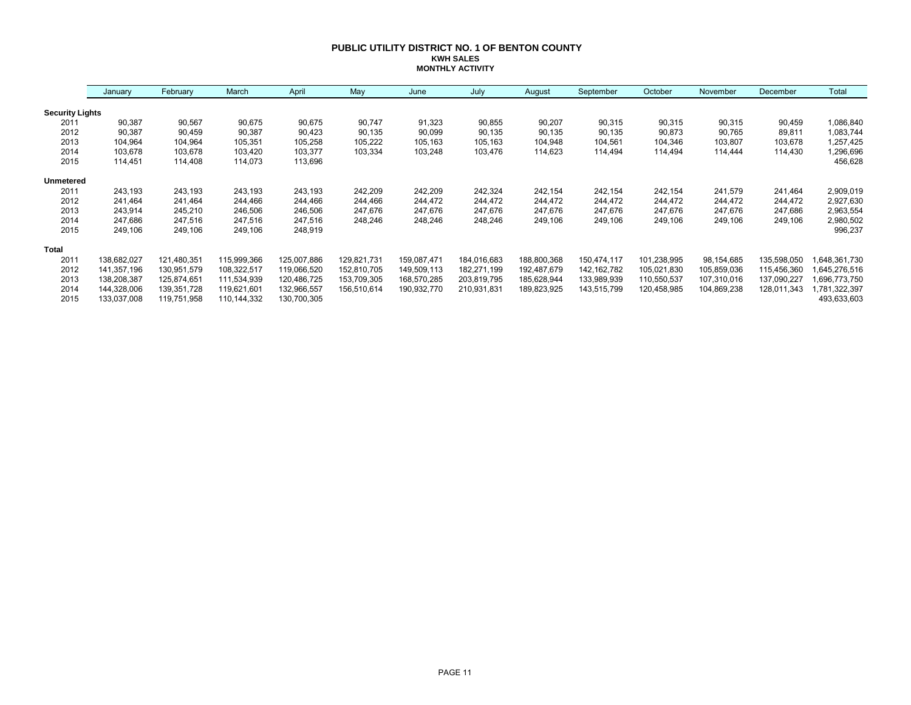#### **PUBLIC UTILITY DISTRICT NO. 1 OF BENTON COUNTY KWH SALES MONTHLY ACTIVITY**

|                        | January     | February    | March       | April       | May         | June        | July        | August      | September     | October     | November    | December    | Total        |
|------------------------|-------------|-------------|-------------|-------------|-------------|-------------|-------------|-------------|---------------|-------------|-------------|-------------|--------------|
| <b>Security Lights</b> |             |             |             |             |             |             |             |             |               |             |             |             |              |
| 2011                   | 90,387      | 90,567      | 90,675      | 90,675      | 90,747      | 91,323      | 90,855      | 90,207      | 90,315        | 90,315      | 90,315      | 90,459      | 1,086,840    |
| 2012                   | 90,387      | 90,459      | 90,387      | 90,423      | 90,135      | 90,099      | 90,135      | 90,135      | 90,135        | 90,873      | 90,765      | 89,811      | 1,083,744    |
| 2013                   | 104,964     | 104,964     | 105,351     | 105,258     | 105,222     | 105,163     | 105,163     | 104,948     | 104,561       | 104,346     | 103,807     | 103,678     | 1,257,425    |
| 2014                   | 103,678     | 103,678     | 103,420     | 103,377     | 103,334     | 103,248     | 103,476     | 114,623     | 114,494       | 114,494     | 114,444     | 114,430     | 1,296,696    |
| 2015                   | 114,451     | 114,408     | 114,073     | 113,696     |             |             |             |             |               |             |             |             | 456,628      |
| Unmetered              |             |             |             |             |             |             |             |             |               |             |             |             |              |
| 2011                   | 243,193     | 243,193     | 243,193     | 243,193     | 242,209     | 242,209     | 242,324     | 242,154     | 242,154       | 242,154     | 241,579     | 241,464     | 2,909,019    |
| 2012                   | 241,464     | 241,464     | 244,466     | 244,466     | 244,466     | 244,472     | 244,472     | 244,472     | 244,472       | 244,472     | 244,472     | 244,472     | 2,927,630    |
| 2013                   | 243,914     | 245,210     | 246,506     | 246,506     | 247,676     | 247,676     | 247,676     | 247,676     | 247,676       | 247,676     | 247,676     | 247,686     | 2,963,554    |
| 2014                   | 247,686     | 247,516     | 247,516     | 247,516     | 248,246     | 248,246     | 248,246     | 249,106     | 249,106       | 249,106     | 249,106     | 249,106     | 2,980,502    |
| 2015                   | 249,106     | 249,106     | 249,106     | 248,919     |             |             |             |             |               |             |             |             | 996,237      |
| <b>Total</b>           |             |             |             |             |             |             |             |             |               |             |             |             |              |
| 2011                   | 138,682,027 | 121,480,351 | 115,999,366 | 125,007,886 | 129,821,731 | 159,087,471 | 184,016,683 | 188,800,368 | 150,474,117   | 101,238,995 | 98,154,685  | 135,598,050 | ,648,361,730 |
| 2012                   | 141,357,196 | 130,951,579 | 108,322,517 | 119,066,520 | 152,810,705 | 149,509,113 | 182,271,199 | 192,487,679 | 142, 162, 782 | 105,021,830 | 105,859,036 | 115,456,360 | 645,276,516  |
| 2013                   | 138,208,387 | 125,874,651 | 111,534,939 | 120,486,725 | 153,709,305 | 168,570,285 | 203,819,795 | 185,628,944 | 133,989,939   | 110,550,537 | 107,310,016 | 137,090,227 | 696,773,750  |
| 2014                   | 144,328,006 | 139,351,728 | 119,621,601 | 132,966,557 | 156,510,614 | 190,932,770 | 210,931,831 | 189,823,925 | 143,515,799   | 120,458,985 | 104,869,238 | 128,011,343 | ,781,322,397 |
| 2015                   | 133,037,008 | 119,751,958 | 110,144,332 | 130,700,305 |             |             |             |             |               |             |             |             | 493,633,603  |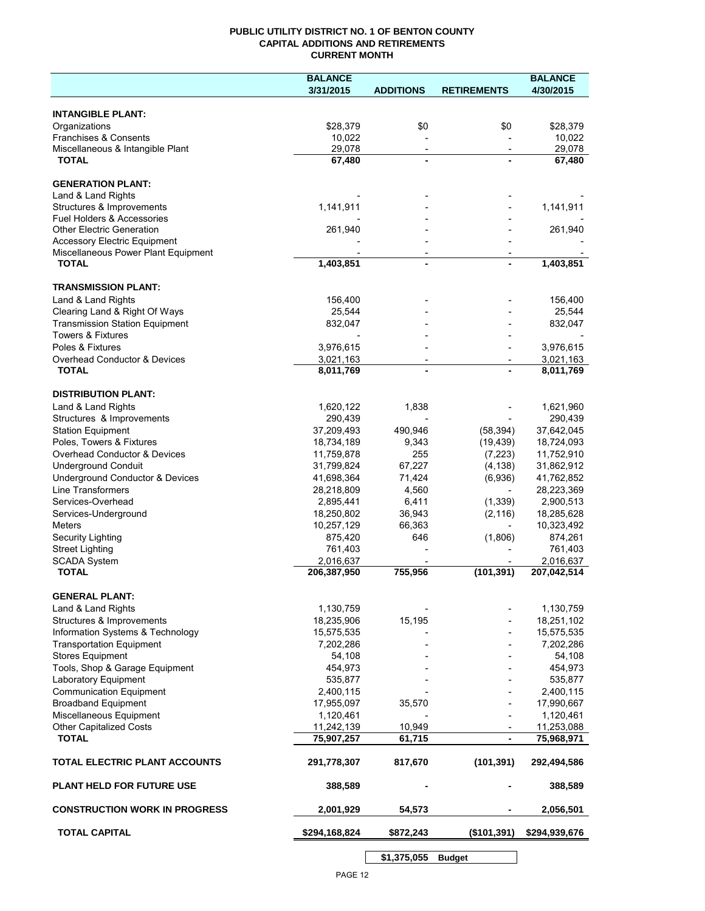#### **PUBLIC UTILITY DISTRICT NO. 1 OF BENTON COUNTY CAPITAL ADDITIONS AND RETIREMENTS CURRENT MONTH**

|                                                     | <b>BALANCE</b>           |                          |                          | <b>BALANCE</b>           |
|-----------------------------------------------------|--------------------------|--------------------------|--------------------------|--------------------------|
|                                                     | 3/31/2015                | <b>ADDITIONS</b>         | <b>RETIREMENTS</b>       | 4/30/2015                |
| <b>INTANGIBLE PLANT:</b>                            |                          |                          |                          |                          |
| Organizations                                       | \$28,379                 | \$0                      | \$0                      | \$28,379                 |
| Franchises & Consents                               | 10,022                   |                          |                          | 10,022                   |
| Miscellaneous & Intangible Plant                    | 29,078                   | $\overline{\phantom{a}}$ | $\overline{\phantom{a}}$ | 29,078                   |
| <b>TOTAL</b>                                        | 67,480                   | $\blacksquare$           |                          | 67,480                   |
| <b>GENERATION PLANT:</b>                            |                          |                          |                          |                          |
| Land & Land Rights                                  |                          |                          |                          |                          |
| Structures & Improvements                           | 1,141,911                |                          |                          | 1,141,911                |
| Fuel Holders & Accessories                          |                          |                          |                          |                          |
| <b>Other Electric Generation</b>                    | 261,940                  |                          |                          | 261,940                  |
| <b>Accessory Electric Equipment</b>                 |                          |                          |                          |                          |
| Miscellaneous Power Plant Equipment<br><b>TOTAL</b> | 1,403,851                | $\blacksquare$           |                          | 1,403,851                |
|                                                     |                          |                          |                          |                          |
| <b>TRANSMISSION PLANT:</b>                          |                          |                          |                          |                          |
| Land & Land Rights                                  | 156,400                  |                          |                          | 156,400                  |
| Clearing Land & Right Of Ways                       | 25,544                   |                          |                          | 25,544                   |
| <b>Transmission Station Equipment</b>               | 832,047                  |                          |                          | 832,047                  |
| <b>Towers &amp; Fixtures</b>                        |                          |                          |                          |                          |
| Poles & Fixtures                                    | 3,976,615                |                          |                          | 3,976,615                |
| Overhead Conductor & Devices                        | 3,021,163                |                          |                          | 3,021,163                |
| <b>TOTAL</b>                                        | 8,011,769                |                          |                          | 8,011,769                |
| <b>DISTRIBUTION PLANT:</b>                          |                          |                          |                          |                          |
| Land & Land Rights                                  | 1,620,122                | 1,838                    |                          | 1,621,960                |
| Structures & Improvements                           | 290,439                  |                          |                          | 290,439                  |
| <b>Station Equipment</b>                            | 37,209,493               | 490,946                  | (58, 394)                | 37,642,045               |
| Poles, Towers & Fixtures                            | 18,734,189               | 9,343                    | (19, 439)                | 18,724,093               |
| Overhead Conductor & Devices                        | 11,759,878               | 255                      | (7, 223)                 | 11,752,910               |
| <b>Underground Conduit</b>                          | 31,799,824               | 67,227                   | (4, 138)                 | 31,862,912               |
| Underground Conductor & Devices                     | 41,698,364               | 71,424                   | (6,936)                  | 41,762,852               |
| Line Transformers                                   | 28,218,809               | 4,560                    |                          | 28,223,369               |
| Services-Overhead                                   | 2,895,441                | 6,411                    | (1, 339)                 | 2,900,513                |
| Services-Underground                                | 18,250,802               | 36,943                   | (2, 116)                 | 18,285,628               |
| Meters                                              | 10,257,129               | 66,363                   | $\overline{\phantom{a}}$ | 10,323,492               |
| Security Lighting                                   | 875,420                  | 646                      | (1,806)                  | 874,261                  |
| <b>Street Lighting</b>                              | 761,403                  |                          |                          | 761,403                  |
| <b>SCADA System</b><br><b>TOTAL</b>                 | 2,016,637                | 755,956                  |                          | 2,016,637<br>207,042,514 |
|                                                     | 206,387,950              |                          | (101, 391)               |                          |
| <b>GENERAL PLANT:</b>                               |                          |                          |                          |                          |
| Land & Land Rights                                  | 1,130,759                |                          |                          | 1,130,759                |
| Structures & Improvements                           | 18,235,906               | 15,195                   |                          | 18,251,102               |
| Information Systems & Technology                    | 15,575,535               |                          |                          | 15,575,535               |
| <b>Transportation Equipment</b>                     | 7,202,286                |                          |                          | 7,202,286                |
| <b>Stores Equipment</b>                             | 54,108                   |                          |                          | 54,108                   |
| Tools, Shop & Garage Equipment                      | 454,973                  |                          |                          | 454,973                  |
| Laboratory Equipment                                | 535,877                  |                          |                          | 535,877                  |
| <b>Communication Equipment</b>                      | 2,400,115                |                          |                          | 2,400,115                |
| <b>Broadband Equipment</b>                          | 17,955,097               | 35,570                   |                          | 17,990,667               |
| Miscellaneous Equipment                             | 1,120,461                |                          |                          | 1,120,461                |
| <b>Other Capitalized Costs</b><br><b>TOTAL</b>      | 11,242,139<br>75,907,257 | 10,949<br>61,715         | $\blacksquare$           | 11,253,088<br>75,968,971 |
|                                                     |                          |                          |                          |                          |
| TOTAL ELECTRIC PLANT ACCOUNTS                       | 291,778,307              | 817,670                  | (101, 391)               | 292,494,586              |
| <b>PLANT HELD FOR FUTURE USE</b>                    | 388,589                  |                          |                          | 388,589                  |
| <b>CONSTRUCTION WORK IN PROGRESS</b>                | 2,001,929                | 54,573                   |                          | 2,056,501                |
| <b>TOTAL CAPITAL</b>                                | \$294,168,824            | \$872,243                | (\$101,391)              | \$294,939,676            |
|                                                     |                          |                          |                          |                          |

**\$1,375,055 Budget**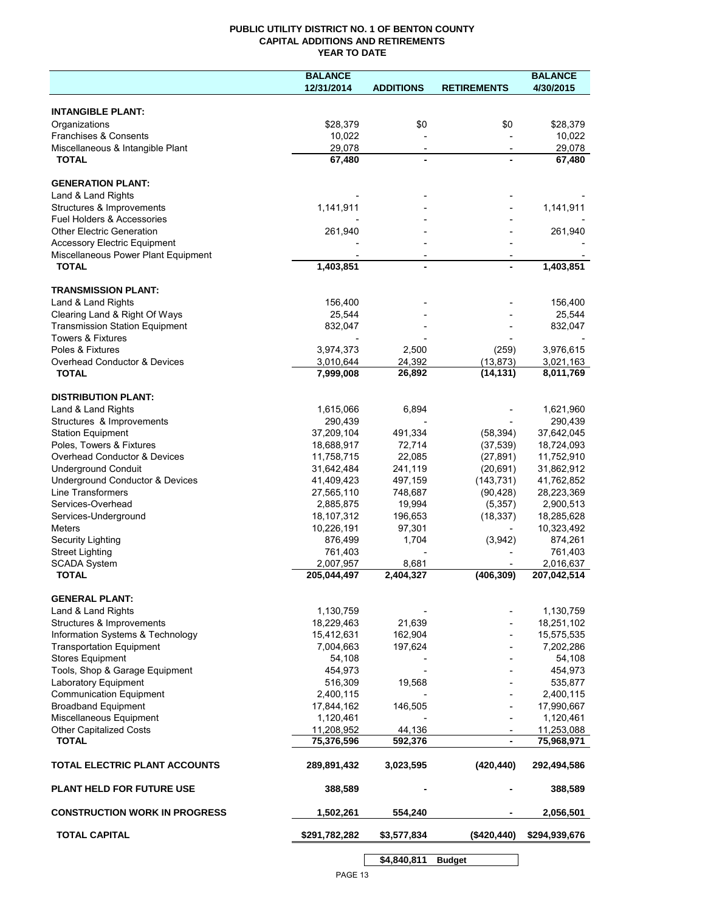#### **PUBLIC UTILITY DISTRICT NO. 1 OF BENTON COUNTY CAPITAL ADDITIONS AND RETIREMENTS YEAR TO DATE**

|                                       | <b>BALANCE</b> |                          |                          | <b>BALANCE</b> |
|---------------------------------------|----------------|--------------------------|--------------------------|----------------|
|                                       | 12/31/2014     | <b>ADDITIONS</b>         | <b>RETIREMENTS</b>       | 4/30/2015      |
|                                       |                |                          |                          |                |
| <b>INTANGIBLE PLANT:</b>              |                |                          |                          |                |
| Organizations                         | \$28,379       | \$0                      | \$0                      | \$28,379       |
| Franchises & Consents                 | 10,022         |                          |                          | 10,022         |
| Miscellaneous & Intangible Plant      | 29,078         | $\overline{\phantom{a}}$ | $\overline{\phantom{a}}$ | 29,078         |
| <b>TOTAL</b>                          | 67,480         |                          |                          | 67,480         |
|                                       |                |                          |                          |                |
| <b>GENERATION PLANT:</b>              |                |                          |                          |                |
| Land & Land Rights                    |                |                          |                          |                |
| Structures & Improvements             | 1,141,911      |                          |                          | 1,141,911      |
| Fuel Holders & Accessories            |                |                          |                          |                |
| <b>Other Electric Generation</b>      | 261,940        |                          |                          | 261,940        |
| <b>Accessory Electric Equipment</b>   |                |                          |                          |                |
| Miscellaneous Power Plant Equipment   |                |                          |                          |                |
| <b>TOTAL</b>                          | 1,403,851      |                          |                          | 1,403,851      |
|                                       |                |                          |                          |                |
| <b>TRANSMISSION PLANT:</b>            |                |                          |                          |                |
| Land & Land Rights                    | 156,400        |                          |                          | 156,400        |
| Clearing Land & Right Of Ways         | 25,544         |                          |                          | 25,544         |
| <b>Transmission Station Equipment</b> | 832,047        |                          |                          | 832,047        |
| <b>Towers &amp; Fixtures</b>          |                |                          |                          |                |
| Poles & Fixtures                      | 3,974,373      | 2,500                    | (259)                    | 3,976,615      |
| Overhead Conductor & Devices          | 3,010,644      | 24,392                   | (13, 873)                | 3,021,163      |
| <b>TOTAL</b>                          | 7,999,008      | 26,892                   | (14, 131)                | 8,011,769      |
|                                       |                |                          |                          |                |
| <b>DISTRIBUTION PLANT:</b>            |                |                          |                          |                |
| Land & Land Rights                    | 1,615,066      | 6,894                    |                          | 1,621,960      |
| Structures & Improvements             | 290,439        |                          |                          | 290,439        |
| <b>Station Equipment</b>              | 37,209,104     | 491,334                  | (58, 394)                | 37,642,045     |
| Poles, Towers & Fixtures              | 18,688,917     | 72,714                   | (37, 539)                | 18,724,093     |
| Overhead Conductor & Devices          | 11,758,715     | 22,085                   | (27, 891)                | 11,752,910     |
| <b>Underground Conduit</b>            | 31,642,484     | 241,119                  | (20, 691)                | 31,862,912     |
| Underground Conductor & Devices       | 41,409,423     | 497,159                  | (143, 731)               | 41,762,852     |
| Line Transformers                     | 27,565,110     | 748,687                  | (90, 428)                | 28,223,369     |
| Services-Overhead                     | 2,885,875      | 19,994                   | (5, 357)                 | 2,900,513      |
| Services-Underground                  | 18,107,312     | 196,653                  | (18, 337)                | 18,285,628     |
| <b>Meters</b>                         | 10,226,191     | 97,301                   |                          | 10,323,492     |
| Security Lighting                     | 876,499        | 1,704                    | (3,942)                  | 874,261        |
| <b>Street Lighting</b>                | 761,403        |                          |                          | 761,403        |
| <b>SCADA System</b>                   | 2,007,957      | 8,681                    |                          | 2,016,637      |
| <b>TOTAL</b>                          | 205,044,497    | 2,404,327                | (406, 309)               | 207,042,514    |
|                                       |                |                          |                          |                |
| <b>GENERAL PLANT:</b>                 |                |                          |                          |                |
| Land & Land Rights                    | 1,130,759      |                          |                          | 1,130,759      |
| Structures & Improvements             | 18,229,463     | 21,639                   |                          | 18,251,102     |
| Information Systems & Technology      | 15,412,631     | 162,904                  |                          | 15,575,535     |
|                                       | 7,004,663      | 197,624                  |                          | 7,202,286      |
| <b>Transportation Equipment</b>       |                |                          |                          |                |
| <b>Stores Equipment</b>               | 54,108         |                          |                          | 54,108         |
| Tools, Shop & Garage Equipment        | 454,973        |                          |                          | 454,973        |
| Laboratory Equipment                  | 516,309        | 19,568                   |                          | 535,877        |
| <b>Communication Equipment</b>        | 2,400,115      |                          |                          | 2,400,115      |
| <b>Broadband Equipment</b>            | 17,844,162     | 146,505                  |                          | 17,990,667     |
| Miscellaneous Equipment               | 1,120,461      |                          |                          | 1,120,461      |
| Other Capitalized Costs               | 11,208,952     | 44,136                   |                          | 11,253,088     |
| <b>TOTAL</b>                          | 75,376,596     | 592,376                  | $\blacksquare$           | 75,968,971     |
| <b>TOTAL ELECTRIC PLANT ACCOUNTS</b>  | 289,891,432    | 3,023,595                | (420, 440)               | 292,494,586    |
| <b>PLANT HELD FOR FUTURE USE</b>      | 388,589        |                          |                          | 388,589        |
| <b>CONSTRUCTION WORK IN PROGRESS</b>  | 1,502,261      | 554,240                  |                          | 2,056,501      |
| <b>TOTAL CAPITAL</b>                  | \$291,782,282  | \$3,577,834              | ( \$420, 440)            | \$294,939,676  |
|                                       |                |                          |                          |                |
|                                       |                | \$4,840,811              | <b>Budget</b>            |                |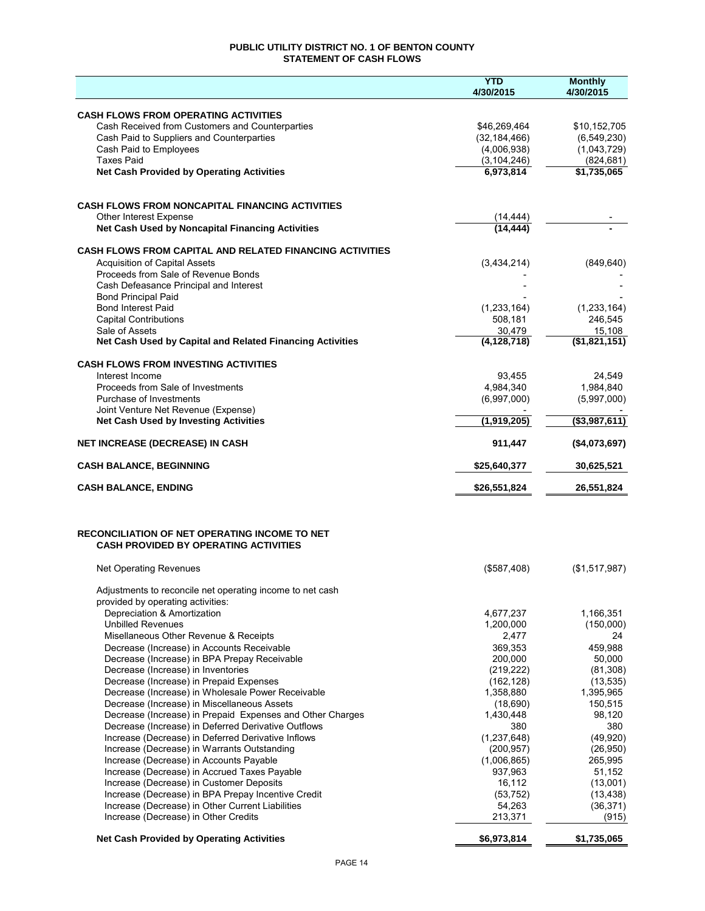### **PUBLIC UTILITY DISTRICT NO. 1 OF BENTON COUNTY STATEMENT OF CASH FLOWS**

|                                                                                                           | <b>YTD</b><br>4/30/2015  | <b>Monthly</b><br>4/30/2015 |
|-----------------------------------------------------------------------------------------------------------|--------------------------|-----------------------------|
|                                                                                                           |                          |                             |
| <b>CASH FLOWS FROM OPERATING ACTIVITIES</b><br>Cash Received from Customers and Counterparties            | \$46,269,464             | \$10,152,705                |
| Cash Paid to Suppliers and Counterparties                                                                 | (32, 184, 466)           | (6, 549, 230)               |
| Cash Paid to Employees                                                                                    | (4,006,938)              | (1,043,729)                 |
| <b>Taxes Paid</b>                                                                                         | (3, 104, 246)            | (824, 681)                  |
| <b>Net Cash Provided by Operating Activities</b>                                                          | 6,973,814                | \$1,735,065                 |
| <b>CASH FLOWS FROM NONCAPITAL FINANCING ACTIVITIES</b>                                                    |                          |                             |
| Other Interest Expense                                                                                    | (14, 444)                |                             |
| Net Cash Used by Noncapital Financing Activities                                                          | (14, 444)                |                             |
| <b>CASH FLOWS FROM CAPITAL AND RELATED FINANCING ACTIVITIES</b>                                           |                          |                             |
| <b>Acquisition of Capital Assets</b>                                                                      | (3,434,214)              | (849, 640)                  |
| Proceeds from Sale of Revenue Bonds                                                                       |                          |                             |
| Cash Defeasance Principal and Interest<br><b>Bond Principal Paid</b>                                      |                          |                             |
| <b>Bond Interest Paid</b>                                                                                 | (1, 233, 164)            | (1, 233, 164)               |
| <b>Capital Contributions</b>                                                                              | 508,181                  | 246,545                     |
| Sale of Assets                                                                                            | 30,479                   | 15,108                      |
| Net Cash Used by Capital and Related Financing Activities                                                 | (4, 128, 718)            | (\$1,821,151)               |
| <b>CASH FLOWS FROM INVESTING ACTIVITIES</b>                                                               |                          |                             |
| Interest Income                                                                                           | 93,455                   | 24,549                      |
| Proceeds from Sale of Investments<br>Purchase of Investments                                              | 4,984,340<br>(6,997,000) | 1,984,840<br>(5,997,000)    |
| Joint Venture Net Revenue (Expense)                                                                       |                          |                             |
| <b>Net Cash Used by Investing Activities</b>                                                              | (1,919,205)              | ( \$3,987,611)              |
| NET INCREASE (DECREASE) IN CASH                                                                           | 911,447                  | (\$4,073,697)               |
| <b>CASH BALANCE, BEGINNING</b>                                                                            | \$25,640,377             | 30,625,521                  |
| <b>CASH BALANCE, ENDING</b>                                                                               | \$26,551,824             | 26,551,824                  |
|                                                                                                           |                          |                             |
| RECONCILIATION OF NET OPERATING INCOME TO NET<br><b>CASH PROVIDED BY OPERATING ACTIVITIES</b>             |                          |                             |
| <b>Net Operating Revenues</b>                                                                             | (\$587,408)              | (\$1,517,987)               |
| Adjustments to reconcile net operating income to net cash<br>provided by operating activities:            |                          |                             |
| Depreciation & Amortization                                                                               | 4,677,237                | 1,166,351                   |
| <b>Unbilled Revenues</b>                                                                                  | 1,200,000                | (150,000)                   |
| Misellaneous Other Revenue & Receipts                                                                     | 2,477                    | 24                          |
| Decrease (Increase) in Accounts Receivable                                                                | 369,353                  | 459,988                     |
| Decrease (Increase) in BPA Prepay Receivable<br>Decrease (Increase) in Inventories                        | 200,000<br>(219, 222)    | 50,000<br>(81,308)          |
| Decrease (Increase) in Prepaid Expenses                                                                   | (162, 128)               | (13, 535)                   |
| Decrease (Increase) in Wholesale Power Receivable                                                         | 1,358,880                | 1,395,965                   |
| Decrease (Increase) in Miscellaneous Assets                                                               | (18,690)                 | 150,515                     |
| Decrease (Increase) in Prepaid Expenses and Other Charges                                                 | 1,430,448                | 98,120                      |
| Decrease (Increase) in Deferred Derivative Outflows<br>Increase (Decrease) in Deferred Derivative Inflows | 380<br>(1, 237, 648)     | 380<br>(49, 920)            |
| Increase (Decrease) in Warrants Outstanding                                                               | (200, 957)               | (26,950)                    |
| Increase (Decrease) in Accounts Payable                                                                   | (1,006,865)              | 265,995                     |
| Increase (Decrease) in Accrued Taxes Payable                                                              | 937,963                  | 51,152                      |
| Increase (Decrease) in Customer Deposits                                                                  | 16,112                   | (13,001)                    |
| Increase (Decrease) in BPA Prepay Incentive Credit                                                        | (53, 752)                | (13, 438)                   |
| Increase (Decrease) in Other Current Liabilities<br>Increase (Decrease) in Other Credits                  | 54,263<br>213,371        | (36, 371)<br>(915)          |
| <b>Net Cash Provided by Operating Activities</b>                                                          | \$6,973,814              | \$1,735,065                 |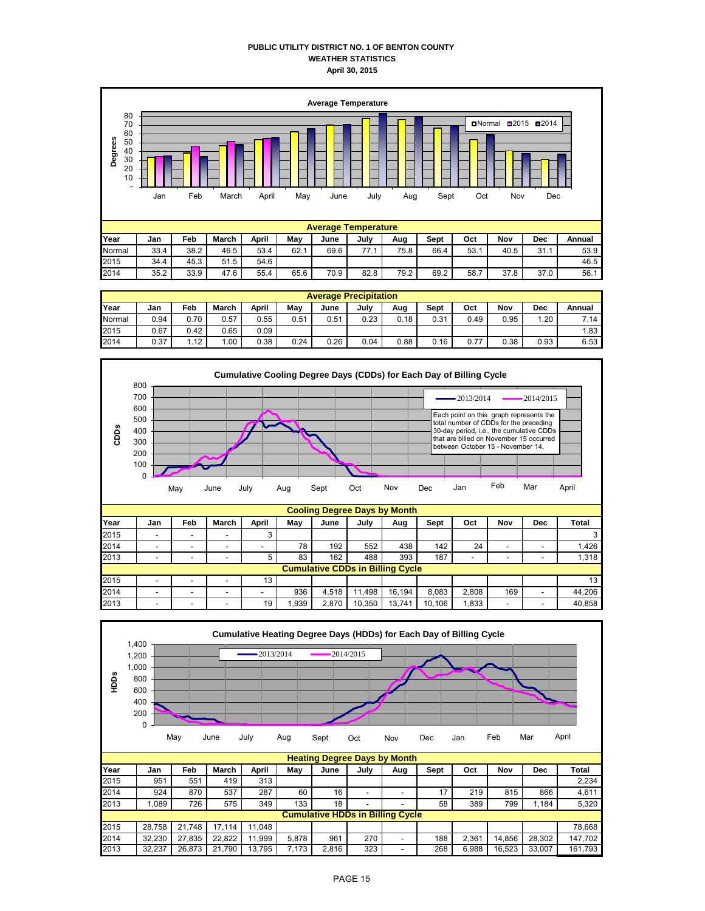#### **PUBLIC UTILITY DISTRICT NO. 1 OF BENTON COUNTY WEATHER STATISTICS April 30, 2015**



|        | <b>Average Precipitation</b> |      |              |       |      |      |      |      |      |      |      |      |        |
|--------|------------------------------|------|--------------|-------|------|------|------|------|------|------|------|------|--------|
| Year   | Jan                          | Feb  | <b>March</b> | April | Mav  | June | July | Aug  | Sept | Oct  | Nov  | Dec  | Annual |
| Normal | 0.94                         | 0.70 | 0.57         | 0.55  | 0.51 | 0.51 | 0.23 | 0.18 | 0.31 | 0.49 | 0.95 | .20  | 7.14   |
| 2015   | 0.67                         | 0.42 | 0.65         | 0.09  |      |      |      |      |      |      |      |      | 1.83   |
| 2014   | 0.37                         | .12  | ' 00. ،      | 0.38  | 0.24 | 0.26 | 0.04 | 0.88 | 0.16 | 0.77 | 0.38 | 0.93 | 6.53   |



| Year | Jan | Feb | <b>March</b> | April | May  | June                                    | July   | Aug    | <b>Sept</b> | Oct                      | Nov | Dec | Total  |
|------|-----|-----|--------------|-------|------|-----------------------------------------|--------|--------|-------------|--------------------------|-----|-----|--------|
| 2015 | -   | -   |              |       |      |                                         |        |        |             |                          |     |     |        |
| 2014 | -   |     |              | -     | 78   | 192                                     | 552    | 438    | 142         | 24                       | -   |     | 1.426  |
| 2013 | -   |     |              |       | 83   | 162                                     | 488    | 393    | 187         | $\overline{\phantom{a}}$ | -   |     | 1,318  |
|      |     |     |              |       |      | <b>Cumulative CDDs in Billing Cycle</b> |        |        |             |                          |     |     |        |
| 2015 | -   |     | -            | 13    |      |                                         |        |        |             |                          |     |     | 13     |
| 2014 | -   | -   |              |       | 936  | 4.518                                   | 1.498  | 16.194 | 8.083       | 2.808                    | 169 |     | 44.206 |
| 2013 | -   |     |              | 19    | .939 | 2.870                                   | 10,350 | 13.741 | 10.106      | .833                     | -   |     | 40,858 |

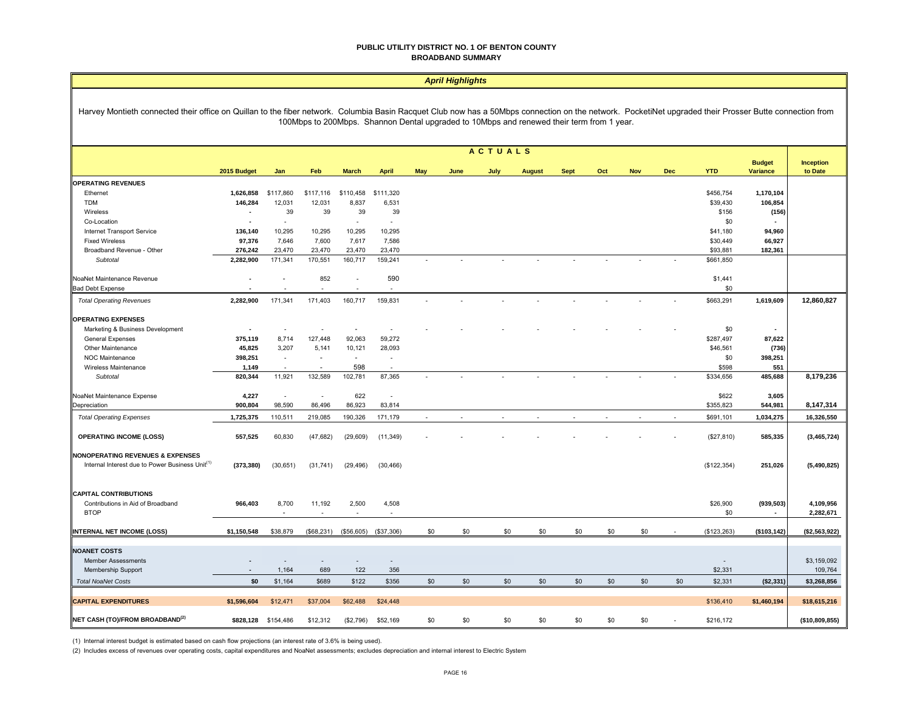#### **PUBLIC UTILITY DISTRICT NO. 1 OF BENTON COUNTY BROADBAND SUMMARY**

|                                                                                                                                                                                                                                                                                                      | <b>April Highlights</b> |                          |                          |              |                          |        |      |                          |               |             |                |            |                             |                 |                                  |                             |
|------------------------------------------------------------------------------------------------------------------------------------------------------------------------------------------------------------------------------------------------------------------------------------------------------|-------------------------|--------------------------|--------------------------|--------------|--------------------------|--------|------|--------------------------|---------------|-------------|----------------|------------|-----------------------------|-----------------|----------------------------------|-----------------------------|
| Harvey Montieth connected their office on Quillan to the fiber network. Columbia Basin Racquet Club now has a 50Mbps connection on the network. PocketiNet upgraded their Prosser Butte connection from<br>100Mbps to 200Mbps. Shannon Dental upgraded to 10Mbps and renewed their term from 1 year. |                         |                          |                          |              |                          |        |      |                          |               |             |                |            |                             |                 |                                  |                             |
|                                                                                                                                                                                                                                                                                                      |                         |                          |                          |              |                          |        |      | <b>ACTUALS</b>           |               |             |                |            |                             |                 |                                  |                             |
|                                                                                                                                                                                                                                                                                                      | 2015 Budget             | Jan                      | Feb                      | <b>March</b> | <b>April</b>             | May    | June | July                     | <b>August</b> | <b>Sept</b> | Oct            | <b>Nov</b> | <b>Dec</b>                  | <b>YTD</b>      | <b>Budget</b><br><b>Variance</b> | <b>Inception</b><br>to Date |
| <b>OPERATING REVENUES</b>                                                                                                                                                                                                                                                                            |                         |                          |                          |              |                          |        |      |                          |               |             |                |            |                             |                 |                                  |                             |
| Ethernet                                                                                                                                                                                                                                                                                             | 1,626,858               | \$117,860                | \$117,116                | \$110,458    | \$111,320                |        |      |                          |               |             |                |            |                             | \$456,754       | 1,170,104                        |                             |
| <b>TDM</b>                                                                                                                                                                                                                                                                                           | 146,284                 | 12,031                   | 12,031                   | 8,837        | 6,531                    |        |      |                          |               |             |                |            |                             | \$39,430        | 106,854                          |                             |
| Wireless                                                                                                                                                                                                                                                                                             | $\ddot{\phantom{0}}$    | 39                       | 39                       | 39           | 39                       |        |      |                          |               |             |                |            |                             | \$156           | (156)                            |                             |
| Co-Location                                                                                                                                                                                                                                                                                          |                         |                          |                          |              | ٠                        |        |      |                          |               |             |                |            |                             | \$0             |                                  |                             |
|                                                                                                                                                                                                                                                                                                      |                         |                          |                          |              |                          |        |      |                          |               |             |                |            |                             |                 |                                  |                             |
| Internet Transport Service                                                                                                                                                                                                                                                                           | 136,140                 | 10,295                   | 10,295                   | 10,295       | 10,295                   |        |      |                          |               |             |                |            |                             | \$41,180        | 94,960                           |                             |
| <b>Fixed Wireless</b>                                                                                                                                                                                                                                                                                | 97,376                  | 7,646                    | 7,600                    | 7,617        | 7,586                    |        |      |                          |               |             |                |            |                             | \$30,449        | 66,927                           |                             |
| Broadband Revenue - Other                                                                                                                                                                                                                                                                            | 276,242                 | 23,470                   | 23,470                   | 23,470       | 23,470                   |        |      |                          |               |             |                |            |                             | \$93,881        | 182,361                          |                             |
| Subtotal                                                                                                                                                                                                                                                                                             | 2,282,900               | 171,341                  | 170,551                  | 160,717      | 159,241                  |        |      |                          |               |             |                |            |                             | \$661,850       |                                  |                             |
| NoaNet Maintenance Revenue                                                                                                                                                                                                                                                                           | ä,                      | $\sim$                   | 852                      |              | 590                      |        |      |                          |               |             |                |            |                             | \$1,441         |                                  |                             |
| <b>Bad Debt Expense</b>                                                                                                                                                                                                                                                                              |                         |                          |                          |              |                          |        |      |                          |               |             |                |            |                             | \$0             |                                  |                             |
| <b>Total Operating Revenues</b>                                                                                                                                                                                                                                                                      | 2,282,900               | 171,341                  | 171,403                  | 160,717      | 159,831                  |        |      |                          |               |             |                |            |                             | \$663,291       | 1,619,609                        | 12,860,827                  |
| <b>OPERATING EXPENSES</b>                                                                                                                                                                                                                                                                            |                         |                          |                          |              |                          |        |      |                          |               |             |                |            |                             |                 |                                  |                             |
| Marketing & Business Development                                                                                                                                                                                                                                                                     |                         | $\overline{\phantom{a}}$ | $\overline{\phantom{a}}$ |              | $\overline{\phantom{a}}$ |        |      |                          |               |             |                |            |                             | \$0             |                                  |                             |
| <b>General Expenses</b>                                                                                                                                                                                                                                                                              | 375,119                 | 8,714                    | 127,448                  | 92,063       | 59,272                   |        |      |                          |               |             |                |            |                             | \$287,497       | 87,622                           |                             |
| Other Maintenance                                                                                                                                                                                                                                                                                    | 45,825                  | 3,207                    | 5,141                    | 10,121       | 28,093                   |        |      |                          |               |             |                |            |                             | \$46,561        | (736)                            |                             |
| NOC Maintenance                                                                                                                                                                                                                                                                                      | 398,251                 | $\overline{\phantom{a}}$ | $\sim$                   | $\sim$       | $\overline{\phantom{a}}$ |        |      |                          |               |             |                |            |                             | \$0             | 398,251                          |                             |
| Wireless Maintenance                                                                                                                                                                                                                                                                                 | 1,149                   |                          | ÷.                       | 598          |                          |        |      |                          |               |             |                |            |                             | \$598           | 551                              |                             |
| Subtotal                                                                                                                                                                                                                                                                                             | 820,344                 | 11,921                   | 132,589                  | 102,781      | 87,365                   | $\sim$ |      |                          |               |             |                |            |                             | \$334,656       | 485,688                          | 8,179,236                   |
|                                                                                                                                                                                                                                                                                                      |                         |                          |                          |              |                          |        |      |                          |               |             |                |            |                             |                 |                                  |                             |
| NoaNet Maintenance Expense                                                                                                                                                                                                                                                                           | 4,227                   | $\overline{\phantom{a}}$ | $\overline{\phantom{a}}$ | 622          | $\overline{\phantom{a}}$ |        |      |                          |               |             |                |            |                             | \$622           | 3,605                            |                             |
| Depreciation                                                                                                                                                                                                                                                                                         | 900,804                 | 98,590                   | 86,496                   | 86,923       | 83,814                   |        |      |                          |               |             |                |            |                             | \$355,823       | 544,981                          | 8,147,314                   |
| <b>Total Operating Expenses</b>                                                                                                                                                                                                                                                                      | 1,725,375               | 110,511                  | 219,085                  | 190,326      | 171,179                  | $\sim$ | ÷,   | $\overline{\phantom{a}}$ | $\sim$        | $\sim$      | $\overline{a}$ |            | $\mathcal{L}_{\mathcal{A}}$ | \$691,101       | 1,034,275                        | 16,326,550                  |
| <b>OPERATING INCOME (LOSS)</b>                                                                                                                                                                                                                                                                       | 557,525                 | 60,830                   | (47, 682)                | (29, 609)    | (11, 349)                |        |      |                          |               |             |                |            |                             | (\$27,810)      | 585,335                          | (3,465,724)                 |
| NONOPERATING REVENUES & EXPENSES<br>Internal Interest due to Power Business Unit <sup>(1)</sup>                                                                                                                                                                                                      | (373, 380)              | (30, 651)                | (31, 741)                | (29, 496)    | (30, 466)                |        |      |                          |               |             |                |            |                             | (\$122, 354)    | 251,026                          | (5,490,825)                 |
| <b>CAPITAL CONTRIBUTIONS</b><br>Contributions in Aid of Broadband<br><b>BTOP</b>                                                                                                                                                                                                                     | 966,403                 | 8,700<br>ä,              | 11,192                   | 2,500        | 4,508                    |        |      |                          |               |             |                |            |                             | \$26,900<br>\$0 | (939, 503)<br>÷.                 | 4,109,956<br>2,282,671      |
| <b>INTERNAL NET INCOME (LOSS)</b>                                                                                                                                                                                                                                                                    | \$1,150,548             | \$38,879                 | (\$68,231)               |              | $($56,605)$ $($37,306)$  | \$0    | \$0  | \$0                      | \$0           | \$0         | \$0            | \$0        |                             | (\$123, 263)    | (\$103, 142)                     | (\$2,563,922)               |
|                                                                                                                                                                                                                                                                                                      |                         |                          |                          |              |                          |        |      |                          |               |             |                |            |                             |                 |                                  |                             |
| <b>NOANET COSTS</b>                                                                                                                                                                                                                                                                                  |                         |                          |                          |              |                          |        |      |                          |               |             |                |            |                             |                 |                                  |                             |
| <b>Member Assessments</b>                                                                                                                                                                                                                                                                            |                         |                          |                          |              |                          |        |      |                          |               |             |                |            |                             |                 |                                  | \$3,159,092                 |
|                                                                                                                                                                                                                                                                                                      |                         |                          |                          |              |                          |        |      |                          |               |             |                |            |                             |                 |                                  |                             |
| Membership Support                                                                                                                                                                                                                                                                                   |                         | 1,164                    | 689                      | 122          | 356                      |        |      |                          |               |             |                |            |                             | \$2,331         |                                  | 109,764                     |
| <b>Total NoaNet Costs</b>                                                                                                                                                                                                                                                                            | \$0                     | \$1,164                  | \$689                    | \$122        | \$356                    | \$0    | \$0  | \$0                      | \$0           | \$0         | \$0            | \$0        | \$0                         | \$2,331         | (\$2,331)                        | \$3,268,856                 |
| <b>CAPITAL EXPENDITURES</b>                                                                                                                                                                                                                                                                          | \$1,596,604             | \$12,471                 | \$37,004                 | \$62,488     | \$24,448                 |        |      |                          |               |             |                |            |                             | \$136,410       | \$1,460,194                      | \$18,615,216                |
| NET CASH (TO)/FROM BROADBAND <sup>(2)</sup>                                                                                                                                                                                                                                                          | \$828.128               | \$154,486                | \$12,312                 | (S2.796)     | \$52,169                 | \$0    | \$0  | \$ſ                      | \$0           | \$0         | \$0            | \$0        |                             | \$216.172       |                                  | (\$10.809.855)              |

(1) Internal interest budget is estimated based on cash flow projections (an interest rate of 3.6% is being used).

(2) Includes excess of revenues over operating costs, capital expenditures and NoaNet assessments; excludes depreciation and internal interest to Electric System